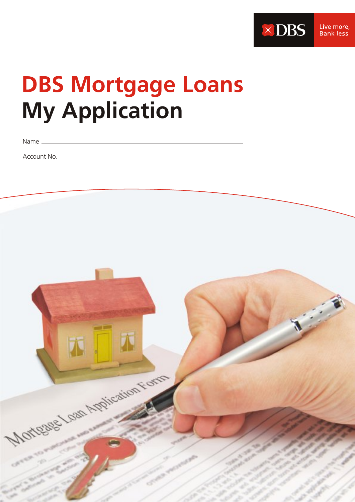

# **DBS Mortgage Loans My Application**

Name

Account No.

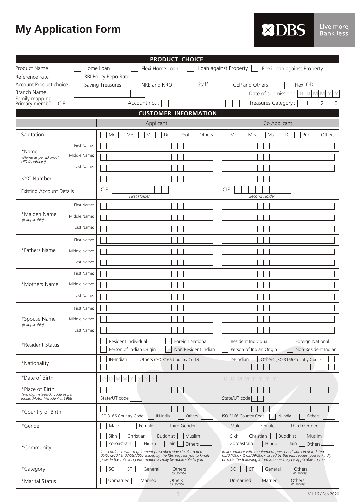# **My Application Form**

| <b>XDBS</b><br>Live mor<br>'Bank les |
|--------------------------------------|
|--------------------------------------|

|                                                    | <b>PRODUCT CHOICE</b>                                                                                                                                                                               |                                                                                                                                                                                                     |
|----------------------------------------------------|-----------------------------------------------------------------------------------------------------------------------------------------------------------------------------------------------------|-----------------------------------------------------------------------------------------------------------------------------------------------------------------------------------------------------|
| <b>Product Name</b>                                | Home Loan<br>Flexi Home Loan                                                                                                                                                                        | Loan against Property<br>Flexi Loan against Property                                                                                                                                                |
| Reference rate                                     | RBI Policy Repo Rate                                                                                                                                                                                |                                                                                                                                                                                                     |
| Account Product choice :                           | Saving Treasures<br>Staff<br>NRE and NRO                                                                                                                                                            | CEP and Others<br>Flexi OD                                                                                                                                                                          |
| <b>Branch Name</b><br>Family mapping -             |                                                                                                                                                                                                     | Date of submission :<br>$\mathbb{D}$<br>D<br><b>M</b><br>M                                                                                                                                          |
| Primary member - CIF                               | Account no.:                                                                                                                                                                                        | Treasures Category:<br>2<br>3                                                                                                                                                                       |
|                                                    | <b>CUSTOMER INFORMATION</b>                                                                                                                                                                         |                                                                                                                                                                                                     |
|                                                    | Applicant                                                                                                                                                                                           | Co Applicant                                                                                                                                                                                        |
| Salutation                                         | Prof<br>Mr<br>Mrs<br>Ms<br>Dr<br>Others                                                                                                                                                             | Prof<br>Mr<br>Mrs<br>Ms<br>Dr<br>Others                                                                                                                                                             |
| First Name:                                        |                                                                                                                                                                                                     |                                                                                                                                                                                                     |
| *Name<br>Middle Name:<br>(Name as per ID proof     |                                                                                                                                                                                                     |                                                                                                                                                                                                     |
| UID (Aadhaar))<br>Last Name:                       |                                                                                                                                                                                                     |                                                                                                                                                                                                     |
| <b>KYC Number</b>                                  |                                                                                                                                                                                                     |                                                                                                                                                                                                     |
|                                                    | CIF                                                                                                                                                                                                 | CIF                                                                                                                                                                                                 |
| <b>Existing Account Details</b>                    | First Holder                                                                                                                                                                                        | Second Holder                                                                                                                                                                                       |
| First Name:                                        |                                                                                                                                                                                                     |                                                                                                                                                                                                     |
| *Maiden Name<br>Middle Name:<br>(If applicable)    |                                                                                                                                                                                                     |                                                                                                                                                                                                     |
| Last Name:                                         |                                                                                                                                                                                                     |                                                                                                                                                                                                     |
| First Name:                                        |                                                                                                                                                                                                     |                                                                                                                                                                                                     |
| *Fathers Name<br>Middle Name:                      |                                                                                                                                                                                                     |                                                                                                                                                                                                     |
| Last Name:                                         |                                                                                                                                                                                                     |                                                                                                                                                                                                     |
| First Name:                                        |                                                                                                                                                                                                     |                                                                                                                                                                                                     |
| *Mothers Name<br>Middle Name:                      |                                                                                                                                                                                                     |                                                                                                                                                                                                     |
| Last Name:                                         |                                                                                                                                                                                                     |                                                                                                                                                                                                     |
| First Name:                                        |                                                                                                                                                                                                     |                                                                                                                                                                                                     |
| *Spouse Name<br>Middle Name:                       |                                                                                                                                                                                                     |                                                                                                                                                                                                     |
| (If applicable)<br>Last Name:                      |                                                                                                                                                                                                     |                                                                                                                                                                                                     |
|                                                    | Resident Individual<br>Foreign National                                                                                                                                                             | Resident Individual<br>Foreign National                                                                                                                                                             |
| *Resident Status                                   | Person of Indian Origin<br>Non Resident Indian                                                                                                                                                      | Person of Indian Origin<br>Non Resident Indian                                                                                                                                                      |
| *Nationality                                       | IN-Indian<br>Others (ISO 3166 Country Code)                                                                                                                                                         | IN-Indian<br>Others (ISO 3166 Country Code)                                                                                                                                                         |
| *Date of Birth                                     | D M M<br>D                                                                                                                                                                                          |                                                                                                                                                                                                     |
| *Place of Birth<br>Two digit -state/UT code as per |                                                                                                                                                                                                     |                                                                                                                                                                                                     |
| Indian Motor Vehicle Act, 1988                     | State/UT code                                                                                                                                                                                       | State/UT code                                                                                                                                                                                       |
| *Country of Birth                                  | ISO 3166 Country Code:<br>IN-India<br>Others                                                                                                                                                        | ISO 3166 Country Code:<br>IN-India<br>Others                                                                                                                                                        |
| *Gender                                            | Third Gender<br>Male<br>Female                                                                                                                                                                      | Third Gender<br>Male<br>Female                                                                                                                                                                      |
| *Community                                         | Christian<br>Sikh<br>Buddhist<br>Muslim<br>Hindu<br>Zoroastrain<br>Jain<br>Others                                                                                                                   | Sikh<br>Christian<br><b>Buddhist</b><br>Muslim<br>Hindu<br>Zoroastrain<br>Jain<br>Others                                                                                                            |
|                                                    | In accordance with requirement prescribed vide circular dated<br>05/07/2007 & 03/09/2007 issued by the RBI, request you to kindly<br>provide the following information as may be applicable to you. | In accordance with requirement prescribed vide circular dated<br>05/07/2007 & 03/09/2007 issued by the RBI, request you to kindly<br>provide the following information as may be applicable to you. |
| *Category                                          | SC<br>ST<br>General<br>Others<br>(Pl. specify)                                                                                                                                                      | SC<br><b>ST</b><br>General<br>Others<br>(Pl. specify)                                                                                                                                               |
| *Marital Status                                    | Unmarried<br>Married<br>Others<br>(Pl. specify)                                                                                                                                                     | Unmarried<br>Married<br>Others<br>(Pl. specify)                                                                                                                                                     |

1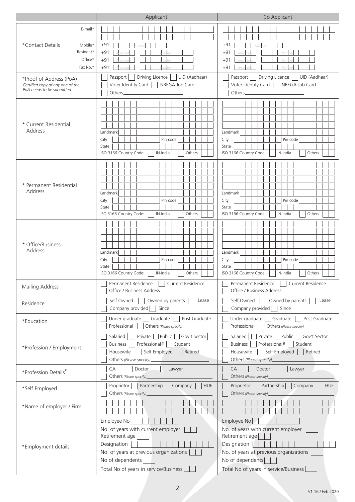|                                                                                                       | Applicant                                                                                                                                                                                 | Co Applicant                                                                                                                                                                                |
|-------------------------------------------------------------------------------------------------------|-------------------------------------------------------------------------------------------------------------------------------------------------------------------------------------------|---------------------------------------------------------------------------------------------------------------------------------------------------------------------------------------------|
| E-mail*<br>*Contact Details<br>Mobile*<br>Resident*<br>Office*<br>Fax No.*<br>*Proof of Address (PoA) | $+97$<br>$+9°$<br>$+91$<br>$+91$<br>Driving Licence<br>UID (Aadhaar)<br>Passport                                                                                                          | $+91$<br>+91<br>$+91$<br>$+91$<br>Driving Licence<br>UID (Aadhaar)<br>Passport                                                                                                              |
| Certified copy of any one of the<br>PoA needs to be submitted                                         | Voter Identity Card<br>NREGA Job Card<br>Others_                                                                                                                                          | Voter Identity Card<br>NREGA Job Card<br>Others_                                                                                                                                            |
| * Current Residential<br>Address                                                                      | Landmark<br>City<br>Pin code<br>State<br>ISO 3166 Country Code:<br>Others<br>IN-India                                                                                                     | Landmark<br>Pin code<br>City<br>State<br>ISO 3166 Country Code:<br>IN-India<br>Others                                                                                                       |
| * Permanent Residential<br>Address                                                                    | Landmark<br>Pin code<br>City<br>State<br>ISO 3166 Country Code:<br>Others<br>IN-India                                                                                                     | Landmark<br>Pin code<br>City<br>State<br>ISO 3166 Country Code:<br>Others<br>IN-India                                                                                                       |
| * Office/Business<br>Address                                                                          | Landmark<br>City<br>Pin code<br>State<br>ISO 3166 Country Code:<br>IN-India<br>Others                                                                                                     | Landmark<br>City<br>Pin code<br>State<br>ISO 3166 Country Code:<br>IN-India<br>Others                                                                                                       |
| Mailing Address                                                                                       | Permanent Residence<br>Current Residence<br>Office / Business Address                                                                                                                     | Current Residence<br>Permanent Residence<br>Office / Business Address                                                                                                                       |
| Residence                                                                                             | Owned by parents  <br>Self Owned<br>Lease<br>$\mathbb{R}$<br>Since<br>Company provided $\vert \ \vert$                                                                                    | Self Owned     Owned by parents    <br>Lease<br>Company provided     Since                                                                                                                  |
| *Education                                                                                            | Post Graduate<br>Under graduate<br>Graduate  <br>Professional<br>Others (Please specify) ______________                                                                                   | Under graduate   Graduate<br>Post Graduate<br>Professional                                                                                                                                  |
| *Profession / Employment                                                                              | Salaried   Private   Public   Gov't Sector<br>Professional#   Student<br>Business<br>Self Employed   Retired<br>Housewife<br>Others (Please specify)_                                     | Salaried       Private     Public     Gov't Sector<br>Professional#   Student<br>Business  <br>    Self Employed     Retired<br>Housewife<br>Others (Please specify)_                       |
| *Profession Details <sup>#</sup>                                                                      | CA<br><b>Doctor</b><br>Lawyer<br>Others (Please specify)                                                                                                                                  | CA<br>Doctor<br>Lawyer<br>Others (Please specify)                                                                                                                                           |
| *Self Employed                                                                                        | Partnership   Company<br>Proprietor<br><b>HUF</b><br>Others (Please specify)                                                                                                              | Proprietor  <br>Partnership   Company<br><b>HUF</b><br>Others (Please specify)_                                                                                                             |
| *Name of employer / Firm                                                                              |                                                                                                                                                                                           |                                                                                                                                                                                             |
| *Employment details                                                                                   | Employee No<br>No. of years with current employer<br>Retirement age<br>Designation<br>No. of years at previous organizations<br>No of dependents<br>Total No of years in service/Business | Employee No<br>No. of years with current employer<br>Retirement age<br>Designation  <br>No. of years at previous organizations<br>No of dependents<br>Total No of years in service/Business |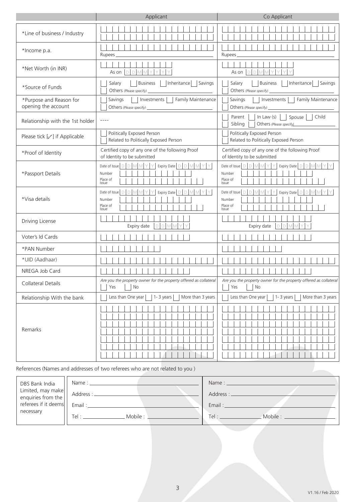|                                                | Applicant                                                                                                                                                                                                                                                                                                                                                                                    | Co Applicant                                                                                             |
|------------------------------------------------|----------------------------------------------------------------------------------------------------------------------------------------------------------------------------------------------------------------------------------------------------------------------------------------------------------------------------------------------------------------------------------------------|----------------------------------------------------------------------------------------------------------|
| *Line of business / Industry                   |                                                                                                                                                                                                                                                                                                                                                                                              |                                                                                                          |
| *Income p.a.                                   | Rupees_                                                                                                                                                                                                                                                                                                                                                                                      | Rupees.                                                                                                  |
| *Net Worth (in INR)                            | As on $D D M M Y Y$<br>Y                                                                                                                                                                                                                                                                                                                                                                     | As on $D$ $D$ $M$ $M$ $Y$ $Y$                                                                            |
| *Source of Funds                               | Inheritance   Savings<br>  Business  <br>Salary                                                                                                                                                                                                                                                                                                                                              | <b>Business</b><br>  Inheritance   Savings<br>Salary                                                     |
| *Purpose and Reason for<br>opening the account | Savings<br>Investments     Family Maintenance<br>Others (Please specify) _                                                                                                                                                                                                                                                                                                                   | Savings<br>Investments     Family Maintenance<br>Others (Please specify) _                               |
| Relationship with the 1st holder               | $\frac{1}{2} \frac{1}{2} \frac{1}{2} \frac{1}{2} \frac{1}{2} \frac{1}{2} \frac{1}{2} \frac{1}{2} \frac{1}{2} \frac{1}{2} \frac{1}{2} \frac{1}{2} \frac{1}{2} \frac{1}{2} \frac{1}{2} \frac{1}{2} \frac{1}{2} \frac{1}{2} \frac{1}{2} \frac{1}{2} \frac{1}{2} \frac{1}{2} \frac{1}{2} \frac{1}{2} \frac{1}{2} \frac{1}{2} \frac{1}{2} \frac{1}{2} \frac{1}{2} \frac{1}{2} \frac{1}{2} \frac{$ | In Law $(s)$     Spouse     Child<br>Parent    <br>Sibling<br>Others (Please specify)                    |
| Please tick $[\sqrt{ } ]$ if Applicable        | Politically Exposed Person<br>Related to Politically Exposed Person                                                                                                                                                                                                                                                                                                                          | Politically Exposed Person<br>Related to Politically Exposed Person                                      |
| *Proof of Identity                             | Certified copy of any one of the following Proof<br>of Identity to be submitted                                                                                                                                                                                                                                                                                                              | Certified copy of any one of the following Proof<br>of Identity to be submitted                          |
| *Passport Details                              | Date of Issue $\bigcup D \bigcup M \bigcup Y \big  Y \big $ Expiry Date $\bigcup D \big  M \big  M \big  Y \big  Y$<br>Number<br>Place of<br>Issue                                                                                                                                                                                                                                           | Date of Issue   D   D   M   M   Y   Y   Expiry Date   D   D   M   M   Y  <br>Number<br>Place of<br>Issue |
| *Visa details                                  | $Y$ Expiry Date $\boxed{\Box}\boxed{\Box}\boxed{\mathrm{M}}$<br>Date of Issue $\Box$ $\Box$ $\Box$ $\Box$<br>MYY.<br>Number<br>Place of<br>Issue                                                                                                                                                                                                                                             | Date of Issue $\Box$ $\Box$ $\Box$ $\Box$<br>$Y$ Expiry Date $D$ $D$ $M$<br>Number<br>Place of<br>Issue  |
| Driving License                                | DDMMY<br>Expiry date                                                                                                                                                                                                                                                                                                                                                                         | DDMM<br>Expiry date                                                                                      |
| Voter's Id Cards                               |                                                                                                                                                                                                                                                                                                                                                                                              |                                                                                                          |
| *PAN Number                                    |                                                                                                                                                                                                                                                                                                                                                                                              |                                                                                                          |
| *UID (Aadhaar)                                 |                                                                                                                                                                                                                                                                                                                                                                                              |                                                                                                          |
| NREGA Job Card                                 |                                                                                                                                                                                                                                                                                                                                                                                              |                                                                                                          |
| Collateral Details                             | Are you the property owner for the property offered as collateral<br>Yes<br>No                                                                                                                                                                                                                                                                                                               | Are you the property owner for the property offered as collateral<br>Yes<br>No                           |
| Relationship With the bank                     | Less than One year<br>1- $3$ years<br>More than 3 years                                                                                                                                                                                                                                                                                                                                      | Less than One year<br>1- $3$ years<br>More than 3 years                                                  |
| Remarks                                        |                                                                                                                                                                                                                                                                                                                                                                                              |                                                                                                          |

# References (Names and addresses of two referees who are not related to you )

| DBS Bank India                    | Name: when the contract of the contract of the contract of the contract of the contract of the contract of the contract of the contract of the contract of the contract of the contract of the contract of the contract of the | Name: Name:                                                                                                                                    |
|-----------------------------------|--------------------------------------------------------------------------------------------------------------------------------------------------------------------------------------------------------------------------------|------------------------------------------------------------------------------------------------------------------------------------------------|
| Limited, may make $\left \right $ | $\lceil \cdot \rceil$ Address : $\perp$                                                                                                                                                                                        | Address : _                                                                                                                                    |
|                                   |                                                                                                                                                                                                                                | Email:                                                                                                                                         |
| necessary                         | Tel : Mobile : Mobile : Mobile : All and Mobile : All and Mobile : All and Mobile : All and Mobile :                                                                                                                           | $\blacksquare$ Mobile : $\blacksquare$<br>Tel : The Contract of the Contract of the Contract of the Contract of the Contract of the Contract o |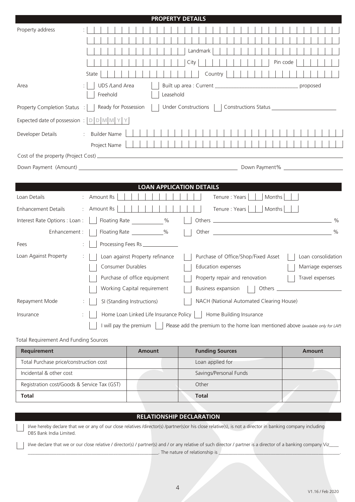|                                               |                                   |                                        | <b>PROPERTY DETAILS</b>                                                          |      |          |                                                                                                                |                             |  |        |          |                 |                    |
|-----------------------------------------------|-----------------------------------|----------------------------------------|----------------------------------------------------------------------------------|------|----------|----------------------------------------------------------------------------------------------------------------|-----------------------------|--|--------|----------|-----------------|--------------------|
| Property address                              |                                   |                                        |                                                                                  |      |          |                                                                                                                |                             |  |        |          |                 |                    |
|                                               |                                   |                                        |                                                                                  |      |          |                                                                                                                |                             |  |        |          |                 |                    |
|                                               |                                   |                                        |                                                                                  |      | Landmark |                                                                                                                |                             |  |        |          |                 |                    |
|                                               |                                   |                                        |                                                                                  | City |          |                                                                                                                |                             |  |        | Pin code |                 |                    |
|                                               | State                             |                                        |                                                                                  |      |          | Country                                                                                                        |                             |  |        |          |                 |                    |
| Area                                          | <b>UDS /Land Area</b><br>Freehold |                                        | Leasehold                                                                        |      |          |                                                                                                                |                             |  |        |          | proposed        |                    |
| Property Completion Status :                  | Ready for Possession              |                                        | Under Constructions                                                              |      |          |                                                                                                                |                             |  |        |          |                 |                    |
| Expected date of possession : $ D D M M Y Y $ |                                   |                                        |                                                                                  |      |          |                                                                                                                |                             |  |        |          |                 |                    |
| Developer Details                             | : Builder Name                    |                                        |                                                                                  |      |          |                                                                                                                |                             |  |        |          |                 |                    |
|                                               | Project Name                      |                                        |                                                                                  |      |          |                                                                                                                |                             |  |        |          |                 |                    |
|                                               |                                   |                                        |                                                                                  |      |          |                                                                                                                |                             |  |        |          |                 |                    |
|                                               |                                   |                                        |                                                                                  |      |          |                                                                                                                |                             |  |        |          |                 |                    |
|                                               |                                   |                                        |                                                                                  |      |          |                                                                                                                |                             |  |        |          |                 |                    |
|                                               |                                   | <b>LOAN APPLICATION DETAILS</b>        |                                                                                  |      |          |                                                                                                                |                             |  |        |          |                 |                    |
| Loan Details                                  | : Amount Rs                       |                                        |                                                                                  |      |          |                                                                                                                | Tenure : Years              |  | Months |          |                 |                    |
| <b>Enhancement Details</b>                    | : Amount Rs                       |                                        |                                                                                  |      |          |                                                                                                                | Tenure : Years       Months |  |        |          |                 |                    |
| Interest Rate Options : Loan :                |                                   | Floating Rate ___________%             |                                                                                  |      |          |                                                                                                                |                             |  |        |          |                 |                    |
| Enhancement :                                 |                                   | Floating Rate ____________%            |                                                                                  |      |          | Other 2008 2012 2012 2013 2014 2015 2016 2017 2018 2019 2017 2018 2019 2017 2018 2019 2017 2018 2017 2018 2017 |                             |  |        |          |                 |                    |
| Fees                                          |                                   | Processing Fees Rs ______________      |                                                                                  |      |          |                                                                                                                |                             |  |        |          |                 |                    |
| Loan Against Property                         | ÷                                 | Loan against Property refinance        |                                                                                  |      |          | Purchase of Office/Shop/Fixed Asset                                                                            |                             |  |        |          |                 | Loan consolidation |
|                                               | Consumer Durables                 |                                        |                                                                                  |      |          | Education expenses                                                                                             |                             |  |        |          |                 | Marriage expenses  |
|                                               |                                   | Purchase of office equipment           |                                                                                  |      |          | Property repair and renovation                                                                                 |                             |  |        |          | Travel expenses |                    |
|                                               |                                   | Working Capital requirement            |                                                                                  |      |          | Business expansion                                                                                             |                             |  |        |          |                 |                    |
| Repayment Mode                                |                                   | SI (Standing Instructions)             |                                                                                  |      |          | NACH (National Automated Clearing House)                                                                       |                             |  |        |          |                 |                    |
| Insurance                                     |                                   | Home Loan Linked Life Insurance Policy |                                                                                  |      |          | Home Building Insurance                                                                                        |                             |  |        |          |                 |                    |
|                                               |                                   | I will pay the premium                 | Please add the premium to the home loan mentioned above (available only for LAP) |      |          |                                                                                                                |                             |  |        |          |                 |                    |
| Total Requirement And Funding Sources         |                                   |                                        |                                                                                  |      |          |                                                                                                                |                             |  |        |          |                 |                    |
| Requirement                                   |                                   | <b>Amount</b>                          |                                                                                  |      |          | <b>Funding Sources</b>                                                                                         |                             |  |        |          | <b>Amount</b>   |                    |

| Requirement                                 | Amount | <b>Funding Sources</b> | Amount |
|---------------------------------------------|--------|------------------------|--------|
| Total Purchase price/construction cost      |        | Loan applied for       |        |
| Incidental & other cost                     |        | Savings/Personal Funds |        |
| Registration cost/Goods & Service Tax (GST) |        | Other                  |        |
| Total                                       |        | <b>Total</b>           |        |

# **RELATIONSHIP DECLARATION**

I/we hereby declare that we or any of our close relatives /director(s) /partner(s)or his close relative(s), is not a director in banking company including DBS Bank India Limited.

I/we declare that we or our close relative / director(s) / partner(s) and / or any relative of such director / partner is a director of a banking company Viz\_ \_\_. The nature of relationship is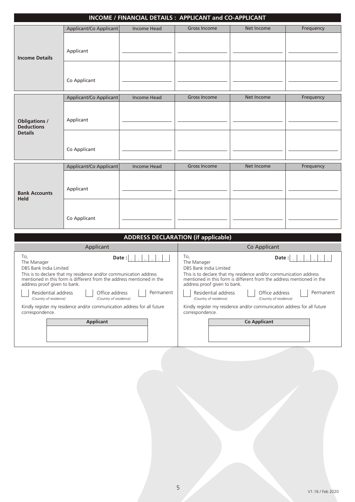|                                                             |                           |             | INCOME / FINANCIAL DETAILS : APPLICANT and CO-APPLICANT |            |           |
|-------------------------------------------------------------|---------------------------|-------------|---------------------------------------------------------|------------|-----------|
|                                                             | Applicant/Co Applicant    | Income Head | <b>Gross Income</b>                                     | Net Income | Frequency |
| <b>Income Details</b>                                       | Applicant                 |             |                                                         |            |           |
|                                                             | Co Applicant              |             |                                                         |            |           |
|                                                             | Applicant/Co Applicant    | Income Head | <b>Gross Income</b>                                     | Net Income | Frequency |
| <b>Obligations /</b><br><b>Deductions</b><br><b>Details</b> | Applicant<br>Co Applicant |             |                                                         |            |           |
|                                                             |                           |             |                                                         |            |           |
|                                                             | Applicant/Co Applicant    | Income Head | <b>Gross Income</b>                                     | Net Income | Frequency |
| <b>Bank Accounts</b>                                        | Applicant                 |             |                                                         |            |           |
| Held                                                        | Co Applicant              |             |                                                         |            |           |

| <b>ADDRESS DECLARATION (if applicable)</b>                                                                                                                                                                                                                                                                                                                                                                                                   |                                                                                                                                                                                                                                                                                                                                                                                                                                              |
|----------------------------------------------------------------------------------------------------------------------------------------------------------------------------------------------------------------------------------------------------------------------------------------------------------------------------------------------------------------------------------------------------------------------------------------------|----------------------------------------------------------------------------------------------------------------------------------------------------------------------------------------------------------------------------------------------------------------------------------------------------------------------------------------------------------------------------------------------------------------------------------------------|
| Applicant                                                                                                                                                                                                                                                                                                                                                                                                                                    | Co Applicant                                                                                                                                                                                                                                                                                                                                                                                                                                 |
| To,<br>Date:<br>The Manager<br>DBS Bank India Limited<br>This is to declare that my residence and/or communication address<br>mentioned in this form is different from the address mentioned in the<br>address proof given to bank.<br>Residential address<br>Office address<br>Permanent<br>(Country of residence)<br>(Country of residence)<br>Kindly register my residence and/or communication address for all future<br>correspondence. | To,<br>Date:<br>The Manager<br>DBS Bank India Limited<br>This is to declare that my residence and/or communication address<br>mentioned in this form is different from the address mentioned in the<br>address proof given to bank.<br>Residential address<br>Office address<br>Permanent<br>(Country of residence)<br>(Country of residence)<br>Kindly register my residence and/or communication address for all future<br>correspondence. |
| <b>Applicant</b>                                                                                                                                                                                                                                                                                                                                                                                                                             | <b>Co Applicant</b>                                                                                                                                                                                                                                                                                                                                                                                                                          |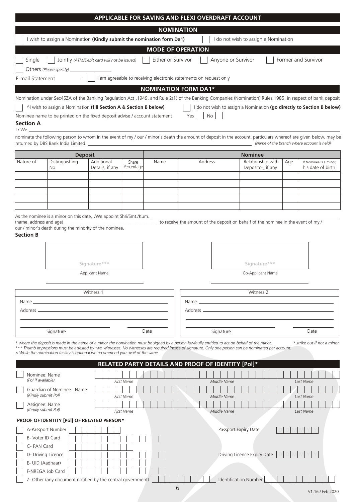|                                       |                                                                                                                                                |                                             |                   |      | APPLICABLE FOR SAVING AND FLEXI OVERDRAFT ACCOUNT                 |                    |                                                                                                                                                                  |     |                                            |
|---------------------------------------|------------------------------------------------------------------------------------------------------------------------------------------------|---------------------------------------------|-------------------|------|-------------------------------------------------------------------|--------------------|------------------------------------------------------------------------------------------------------------------------------------------------------------------|-----|--------------------------------------------|
|                                       |                                                                                                                                                |                                             |                   |      | <b>NOMINATION</b>                                                 |                    |                                                                                                                                                                  |     |                                            |
|                                       | I wish to assign a Nomination (Kindly submit the nomination form Da1)                                                                          |                                             |                   |      |                                                                   |                    | I do not wish to assign a Nomination                                                                                                                             |     |                                            |
|                                       |                                                                                                                                                |                                             |                   |      |                                                                   |                    |                                                                                                                                                                  |     |                                            |
|                                       |                                                                                                                                                |                                             |                   |      | <b>MODE OF OPERATION</b>                                          |                    |                                                                                                                                                                  |     |                                            |
| Single                                |                                                                                                                                                | Jointly (ATM/Debit card will not be issued) |                   |      | Either or Survivor                                                | Anyone or Survivor |                                                                                                                                                                  |     | Former and Survivor                        |
|                                       | Others (Please specify) ____                                                                                                                   |                                             |                   |      |                                                                   |                    |                                                                                                                                                                  |     |                                            |
| E-mail Statement                      |                                                                                                                                                |                                             |                   |      | I am agreeable to receiving electronic statements on request only |                    |                                                                                                                                                                  |     |                                            |
|                                       |                                                                                                                                                |                                             |                   |      | <b>NOMINATION FORM DA1*</b>                                       |                    |                                                                                                                                                                  |     |                                            |
|                                       |                                                                                                                                                |                                             |                   |      |                                                                   |                    | Nomination under Sec45ZA of the Banking Regulation Act , 1949, and Rule 2(1) of the Banking Companies (Nomination) Rules, 1985, in respect of bank deposit       |     |                                            |
|                                       | Al wish to assign a Nomination (fill Section A & Section B below)                                                                              |                                             |                   |      |                                                                   |                    | I do not wish to assign a Nomination (go directly to Section B below)                                                                                            |     |                                            |
| <b>Section A</b>                      | Nominee name to be printed on the fixed deposit advise / account statement                                                                     |                                             |                   |      | Yes                                                               | <b>No</b>          |                                                                                                                                                                  |     |                                            |
| $1/We$ $\_\$                          | returned by DBS Bank India Limited. _                                                                                                          |                                             |                   |      |                                                                   |                    | nominate the following person to whom in the event of my / our / minor's death the amount of deposit in the account, particulars whereof are given below, may be |     | (Name of the branch where account is held) |
|                                       | <b>Deposit</b>                                                                                                                                 |                                             |                   |      |                                                                   |                    | <b>Nominee</b>                                                                                                                                                   |     |                                            |
| Nature of                             | Distinguishing                                                                                                                                 | Additional                                  | Share             | Name |                                                                   | Address            | Relationship with                                                                                                                                                | Age | If Nominee is a minor,                     |
|                                       | No.                                                                                                                                            | Details, if any                             | Percentage        |      |                                                                   |                    | Depositor, if any                                                                                                                                                |     | his date of birth                          |
|                                       |                                                                                                                                                |                                             |                   |      |                                                                   |                    |                                                                                                                                                                  |     |                                            |
|                                       |                                                                                                                                                |                                             |                   |      |                                                                   |                    |                                                                                                                                                                  |     |                                            |
|                                       |                                                                                                                                                |                                             |                   |      |                                                                   |                    |                                                                                                                                                                  |     |                                            |
|                                       |                                                                                                                                                |                                             |                   |      |                                                                   |                    |                                                                                                                                                                  |     |                                            |
|                                       | As the nominee is a minor on this date, I/We appoint Shri/Smt./Kum.                                                                            |                                             |                   |      |                                                                   |                    |                                                                                                                                                                  |     |                                            |
| (name, address and age)               |                                                                                                                                                |                                             |                   |      |                                                                   |                    | to receive the amount of the deposit on behalf of the nominee in the event of my /                                                                               |     |                                            |
|                                       | our / minor's death during the minority of the nominee.                                                                                        |                                             |                   |      |                                                                   |                    |                                                                                                                                                                  |     |                                            |
| <b>Section B</b>                      |                                                                                                                                                |                                             |                   |      |                                                                   |                    |                                                                                                                                                                  |     |                                            |
|                                       |                                                                                                                                                |                                             |                   |      |                                                                   |                    |                                                                                                                                                                  |     |                                            |
|                                       |                                                                                                                                                |                                             |                   |      |                                                                   |                    |                                                                                                                                                                  |     |                                            |
|                                       |                                                                                                                                                | Signature***                                |                   |      |                                                                   |                    | Signature***                                                                                                                                                     |     |                                            |
|                                       |                                                                                                                                                | <b>Applicant Name</b>                       |                   |      |                                                                   |                    | Co-Applicant Name                                                                                                                                                |     |                                            |
|                                       |                                                                                                                                                |                                             |                   |      |                                                                   |                    |                                                                                                                                                                  |     |                                            |
|                                       |                                                                                                                                                | Witness 1                                   |                   |      |                                                                   |                    | Witness 2                                                                                                                                                        |     |                                            |
| Name Land                             |                                                                                                                                                |                                             |                   |      |                                                                   |                    |                                                                                                                                                                  |     |                                            |
|                                       |                                                                                                                                                |                                             |                   |      |                                                                   |                    |                                                                                                                                                                  |     |                                            |
|                                       |                                                                                                                                                |                                             |                   |      |                                                                   |                    |                                                                                                                                                                  |     |                                            |
|                                       |                                                                                                                                                |                                             |                   |      |                                                                   |                    |                                                                                                                                                                  |     |                                            |
|                                       | Signature                                                                                                                                      |                                             |                   | Date |                                                                   | Signature          |                                                                                                                                                                  |     | Date                                       |
|                                       | * where the deposit is made in the name of a minor the nomination must be signed by a person lawfaully entitled to act on behalf of the minor. |                                             |                   |      |                                                                   |                    |                                                                                                                                                                  |     | * strike out if not a minor.               |
|                                       | ^ While the nomination facility is optional we recommend you avail of the same.                                                                |                                             |                   |      |                                                                   |                    | *** Thumb impressions must be attested by two witnesses. No witnesses are required incase of signature. Only one person can be nominated per account.            |     |                                            |
|                                       |                                                                                                                                                |                                             |                   |      | RELATED PARTY DETAILS AND PROOF OF IDENTITY [Pol]*                |                    |                                                                                                                                                                  |     |                                            |
|                                       |                                                                                                                                                |                                             |                   |      |                                                                   |                    |                                                                                                                                                                  |     |                                            |
| Nominee: Name<br>(Pol if available)   |                                                                                                                                                |                                             | <b>First Name</b> |      |                                                                   | Middle Name        |                                                                                                                                                                  |     | Last Name                                  |
| (Kindly submit Pol)                   | Guardian of Nominee: Name                                                                                                                      |                                             | <b>First Name</b> |      |                                                                   | Middle Name        |                                                                                                                                                                  |     | Last Name                                  |
| Assignee: Name<br>(Kindly submit Pol) |                                                                                                                                                |                                             | <b>First Name</b> |      |                                                                   | Middle Name        |                                                                                                                                                                  |     | Last Name                                  |
|                                       | PROOF OF IDENTITY [Pol] OF RELATED PERSON*                                                                                                     |                                             |                   |      |                                                                   |                    |                                                                                                                                                                  |     |                                            |
|                                       | A-Passport Number                                                                                                                              |                                             |                   |      |                                                                   |                    | Passport Expiry Date                                                                                                                                             |     |                                            |
| B- Voter ID Card                      |                                                                                                                                                |                                             |                   |      |                                                                   |                    |                                                                                                                                                                  |     |                                            |
| C- PAN Card                           |                                                                                                                                                |                                             |                   |      |                                                                   |                    |                                                                                                                                                                  |     |                                            |
|                                       | D- Driving Licence                                                                                                                             |                                             |                   |      |                                                                   |                    | Driving Licence Expiry Date                                                                                                                                      |     |                                            |
| E- UID (Aadhaar)                      |                                                                                                                                                |                                             |                   |      |                                                                   |                    |                                                                                                                                                                  |     |                                            |
|                                       | F-NREGA Job Card                                                                                                                               |                                             |                   |      |                                                                   |                    |                                                                                                                                                                  |     |                                            |
|                                       | Z- Other (any document notified by the central government)                                                                                     |                                             |                   |      |                                                                   |                    | Identification Number                                                                                                                                            |     |                                            |
|                                       |                                                                                                                                                |                                             |                   |      | 6                                                                 |                    |                                                                                                                                                                  |     |                                            |

V1.16 / Feb 2020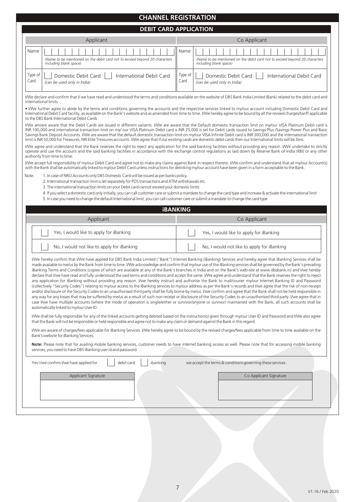|                 |                                                                                                                                                                                                                                                                                                                                                                                                                                       | <b>CHANNEL REGISTRATION</b>                                                                                                                                                                                                                                                                                                                                                                                                                                                                                                                                                                                                                                                                                                                                                                                                                                                                                                                                                                                                                                                                                                                                                                                                                                                                                                                                                                                                                                                                                                                                                           |
|-----------------|---------------------------------------------------------------------------------------------------------------------------------------------------------------------------------------------------------------------------------------------------------------------------------------------------------------------------------------------------------------------------------------------------------------------------------------|---------------------------------------------------------------------------------------------------------------------------------------------------------------------------------------------------------------------------------------------------------------------------------------------------------------------------------------------------------------------------------------------------------------------------------------------------------------------------------------------------------------------------------------------------------------------------------------------------------------------------------------------------------------------------------------------------------------------------------------------------------------------------------------------------------------------------------------------------------------------------------------------------------------------------------------------------------------------------------------------------------------------------------------------------------------------------------------------------------------------------------------------------------------------------------------------------------------------------------------------------------------------------------------------------------------------------------------------------------------------------------------------------------------------------------------------------------------------------------------------------------------------------------------------------------------------------------------|
|                 |                                                                                                                                                                                                                                                                                                                                                                                                                                       | <b>DEBIT CARD APPLICATION</b>                                                                                                                                                                                                                                                                                                                                                                                                                                                                                                                                                                                                                                                                                                                                                                                                                                                                                                                                                                                                                                                                                                                                                                                                                                                                                                                                                                                                                                                                                                                                                         |
|                 | Applicant                                                                                                                                                                                                                                                                                                                                                                                                                             | Co Applicant                                                                                                                                                                                                                                                                                                                                                                                                                                                                                                                                                                                                                                                                                                                                                                                                                                                                                                                                                                                                                                                                                                                                                                                                                                                                                                                                                                                                                                                                                                                                                                          |
| Name            | (Name to be mentioned on the debit card not to exceed beyond 20 characters<br>including blank space)                                                                                                                                                                                                                                                                                                                                  | Name<br>(Name to be mentioned on the debit card not to exceed beyond 20 characters<br>including blank space)                                                                                                                                                                                                                                                                                                                                                                                                                                                                                                                                                                                                                                                                                                                                                                                                                                                                                                                                                                                                                                                                                                                                                                                                                                                                                                                                                                                                                                                                          |
| Type of<br>Card | International Debit Card<br>Domestic Debit Card<br>(can be used only in India)                                                                                                                                                                                                                                                                                                                                                        | Type of<br>International Debit Card<br>Domestic Debit Card<br>Card<br>(can be used only in India)                                                                                                                                                                                                                                                                                                                                                                                                                                                                                                                                                                                                                                                                                                                                                                                                                                                                                                                                                                                                                                                                                                                                                                                                                                                                                                                                                                                                                                                                                     |
|                 | international limits                                                                                                                                                                                                                                                                                                                                                                                                                  | I/We declare and confirm that I/ we have read and understood the terms and conditions available on the website of DBS Bank India Limited (Bank) related to the debit card and                                                                                                                                                                                                                                                                                                                                                                                                                                                                                                                                                                                                                                                                                                                                                                                                                                                                                                                                                                                                                                                                                                                                                                                                                                                                                                                                                                                                         |
|                 | to the DBS Bank International Debit Cards                                                                                                                                                                                                                                                                                                                                                                                             | . I/We further agree to abide by the terms and conditions governing the accounts and the respective services linked to my/our account including Domestic Debit Card and<br>International Debit Card facility, as available on the Bank's website and as amended from time to time. I/We hereby agree to be bound by all the revised charges/tariff applicable                                                                                                                                                                                                                                                                                                                                                                                                                                                                                                                                                                                                                                                                                                                                                                                                                                                                                                                                                                                                                                                                                                                                                                                                                         |
|                 | limit is INR 50,000 for Treasures, NRI Elite Treasures accounts. I/We agree that if our existing cards are domestic debit cards then our International limits will be Zero.                                                                                                                                                                                                                                                           | I/We am/are aware that the Debit Cards are issued in different variants. I/We are aware that the Default domestic transaction limit on my/our VISA Platinum Debit card is<br>INR 100,000 and international transaction limit on my/ our VISA Platinum Debit card is INR 25,000 is set for Debit cards issued to Savings Plus /Savings Power Plus and Basic<br>Savings Bank Deposit Accounts. I/We are aware that the default domestic transaction limit on my/our VISA Infinite Debit card is INR 300,000 and the international transaction                                                                                                                                                                                                                                                                                                                                                                                                                                                                                                                                                                                                                                                                                                                                                                                                                                                                                                                                                                                                                                           |
|                 | authority from time to time.                                                                                                                                                                                                                                                                                                                                                                                                          | I/We agree and understand that the Bank reserves the right to reject any application for the said banking facilities without providing any reason. I/We undertake to strictly<br>operate and use the account and the said banking facilities in accordance with the exchange control regulations as laid down by Reserve Bank of India (RBI) or any other                                                                                                                                                                                                                                                                                                                                                                                                                                                                                                                                                                                                                                                                                                                                                                                                                                                                                                                                                                                                                                                                                                                                                                                                                             |
|                 | with the Bank shall be automatically linked to my/our Debit Card unless instructions for delinking my/our account have been given in a form acceptable to the Bank.                                                                                                                                                                                                                                                                   | I/We accept full responsibility of my/our Debit Card and agree not to make any claims against Bank in respect thereto. I/We confirm and understand that all my/our Account(s)                                                                                                                                                                                                                                                                                                                                                                                                                                                                                                                                                                                                                                                                                                                                                                                                                                                                                                                                                                                                                                                                                                                                                                                                                                                                                                                                                                                                         |
| Note:           | 1. In case of NRO Accounts only DBS Domestic Card will be issued as per banks policy.<br>2. International transaction limit is set separately for POS transactions and ATM withdrawals etc.<br>3. The international transaction limits on your Debit card cannot exceed your domestic limits<br>5. In case you need to change the default International limit, you can call customer care or submit a mandate to change the card type | 4. If you select a domestic card only initially, you can call customer care or submit a mandate to change the card type and increase & activate the international limit                                                                                                                                                                                                                                                                                                                                                                                                                                                                                                                                                                                                                                                                                                                                                                                                                                                                                                                                                                                                                                                                                                                                                                                                                                                                                                                                                                                                               |
|                 | <b>iBANKING</b>                                                                                                                                                                                                                                                                                                                                                                                                                       |                                                                                                                                                                                                                                                                                                                                                                                                                                                                                                                                                                                                                                                                                                                                                                                                                                                                                                                                                                                                                                                                                                                                                                                                                                                                                                                                                                                                                                                                                                                                                                                       |
|                 |                                                                                                                                                                                                                                                                                                                                                                                                                                       |                                                                                                                                                                                                                                                                                                                                                                                                                                                                                                                                                                                                                                                                                                                                                                                                                                                                                                                                                                                                                                                                                                                                                                                                                                                                                                                                                                                                                                                                                                                                                                                       |
|                 | Applicant                                                                                                                                                                                                                                                                                                                                                                                                                             | Co Applicant                                                                                                                                                                                                                                                                                                                                                                                                                                                                                                                                                                                                                                                                                                                                                                                                                                                                                                                                                                                                                                                                                                                                                                                                                                                                                                                                                                                                                                                                                                                                                                          |
|                 | Yes, I would like to apply for iBanking                                                                                                                                                                                                                                                                                                                                                                                               | Yes, I would like to apply for iBanking                                                                                                                                                                                                                                                                                                                                                                                                                                                                                                                                                                                                                                                                                                                                                                                                                                                                                                                                                                                                                                                                                                                                                                                                                                                                                                                                                                                                                                                                                                                                               |
|                 | No, I would not like to apply for iBanking                                                                                                                                                                                                                                                                                                                                                                                            | No, I would not like to apply for iBanking                                                                                                                                                                                                                                                                                                                                                                                                                                                                                                                                                                                                                                                                                                                                                                                                                                                                                                                                                                                                                                                                                                                                                                                                                                                                                                                                                                                                                                                                                                                                            |
|                 | automatically linked to my/our User ID.                                                                                                                                                                                                                                                                                                                                                                                               | I/We hereby confirm that I/We have applied for DBS Bank India Limited ("Bank") Internet Banking (iBanking) Services and hereby agree that iBanking Services shall be<br>made available to me/us by the Bank from time to time. I/We acknowledge and confirm that my/our use of the iBanking services shall be governed by the Bank's prevailing<br>iBanking Terms and Conditions (copies of which are available at any of the Bank's branches in India and on the Bank's web-site at www.dbsbank.in) and I/we hereby<br>declare that I/we have read and fully understood the said terms and conditions and accept the same. I/We agree and understand that the Bank reserves the right to reject<br>any application for iBanking without providing any reason. I/we hereby instruct and authorise the Bank to mail/courier my/our Internet Banking ID and Password<br>(collectively "Security Codes") relating to my/our access to the iBanking services to my/our address as per the Bank's records and I/we agree that the risk of non-receipt<br>and/or disclosure of the Security Codes to an unauthorised third party shall be fully borne by me/us. I/we confirm and agree that the Bank shall not be held responsible in<br>any way for any losses that may be suffered by me/us as a result of such non receipt or disclosure of the Security Codes to an unauthorised third party. I/we agree that in<br>case I/we have multiple accounts (where the mode of operation is single/either or survivor/anyone or survivor) maintained with the Bank, all such accounts shall be |
|                 | that the Bank will not be responsible or held responsible and agree not to make any claim or demand against the Bank in this regard.                                                                                                                                                                                                                                                                                                  | I/We shall be fully responsible for any of the linked accounts getting debited based on the instruction(s) given through my/our User ID and Password and I/We also agree                                                                                                                                                                                                                                                                                                                                                                                                                                                                                                                                                                                                                                                                                                                                                                                                                                                                                                                                                                                                                                                                                                                                                                                                                                                                                                                                                                                                              |
|                 | Bank's website for iBanking Services.                                                                                                                                                                                                                                                                                                                                                                                                 | I/We are aware of charges/fees applicable for iBanking Services. I/We hereby agree to be bound by the revised charges/fees applicable from time to time available on the                                                                                                                                                                                                                                                                                                                                                                                                                                                                                                                                                                                                                                                                                                                                                                                                                                                                                                                                                                                                                                                                                                                                                                                                                                                                                                                                                                                                              |
|                 | services, you need to have DBS iBanking user id and password.                                                                                                                                                                                                                                                                                                                                                                         | Note: Please note that for availing mobile banking services, customer needs to have internet banking access as well. Please note that for accessing mobile banking                                                                                                                                                                                                                                                                                                                                                                                                                                                                                                                                                                                                                                                                                                                                                                                                                                                                                                                                                                                                                                                                                                                                                                                                                                                                                                                                                                                                                    |
|                 | ibanking<br>debit card<br>Yes I/we confirm I/we have applied for                                                                                                                                                                                                                                                                                                                                                                      | we accept the terms & conditions governing these services.                                                                                                                                                                                                                                                                                                                                                                                                                                                                                                                                                                                                                                                                                                                                                                                                                                                                                                                                                                                                                                                                                                                                                                                                                                                                                                                                                                                                                                                                                                                            |
|                 | Applicant Signature                                                                                                                                                                                                                                                                                                                                                                                                                   | Co Applicant Signature                                                                                                                                                                                                                                                                                                                                                                                                                                                                                                                                                                                                                                                                                                                                                                                                                                                                                                                                                                                                                                                                                                                                                                                                                                                                                                                                                                                                                                                                                                                                                                |
|                 |                                                                                                                                                                                                                                                                                                                                                                                                                                       |                                                                                                                                                                                                                                                                                                                                                                                                                                                                                                                                                                                                                                                                                                                                                                                                                                                                                                                                                                                                                                                                                                                                                                                                                                                                                                                                                                                                                                                                                                                                                                                       |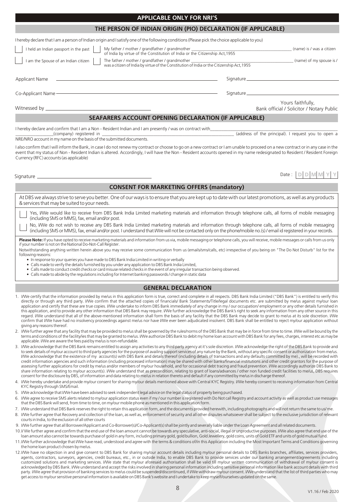# At DBS we always strive to serve you better. One of our ways is to ensure that you are kept up to date with our latest promotions, as well as any products

**CONSENT FOR MARKETING OFFERS (mandatory)**

Yes, I/We would like to receive from DBS Bank India Limited marketing materials and information through telephone calls, all forms of mobile messaging (including SMS or MMS), fax, email and/or post.

No, I/We do not wish to receive any DBS Bank India Limited marketing materials and information through telephone calls, all forms of mobile messaging (including SMS or MMS), fax, email and/or post. I understand that I/We will not be contacted only on the phone/mobile no.(s) / email id registered in your records.

Please Note: If you have opted to receive marketing materials and information from us via, mobile messaging or telephone calls, you will receive, mobile messages or calls from us only if your number is not on the National Do-Not-Call Register.

Notwithstanding anything written herein above you may receive some communication from us (emails/sms/calls, etc) irrespective of you being on "The Do Not Disturb" list for the following reasons:

- In response to your queries you have made to DBS Bank India Limited in writing or verbally
- Calls made to verify the details furnished by you under any application to DBS Bank India Limited,
- Calls made to conduct credit checks or card misuse related checks in the event of any irregular transaction being observed. • Calls made to abide by the regulations including for Internet banking passwords / change in static data

# **GENERAL DECLARATION**

- 1. I/We certify that the information provided by me/us in this application form is true, correct and complete in all respects. DBS Bank India Limited ("DBS Bank") is entitled to verify this directly or through any third party. I/We confirm that the attached copies of financials/ Bank Statements/Title/legal documents etc. are submitted by me/us against my/our loan application and certify that these are true copies. I/We undertake to inform DBS Bank immediately of any change in my / our occupation/ employment or any other details furnished in this application, and to provide any other information that DBS Bank may require. I/We further acknowledge the DBS Bank's right to seek any information from any other source in this regard. I/We understand that all of the above-mentioned information shall form the basis of any facility that the DBS Bank may decide to grant to me/us at its sole discretion. I/We confirm that I/We have had no insolvency proceedings against me/us nor have I/We ever been adjudicated insolvent. DBS Bank shall be entitled to reject my/our application without giving any reasons thereof.
- I/We further agree that any facility that may be provided to me/us shall be governed by the rules/norms of the DBS Bank that may be in force from time to time. I/We will be bound by the terms and conditions of the facility/ies that may be granted to me/us. I/We authorize DBS Bank to debit my home loan account with DBS Bank for any fees, charges, interest etc as may be applicable. I/We are aware the fees paid by me/us is non-refundable.
- 3. I/We acknowledge that the DBS Bank remains entitled to assign any activities to any third party agency at it's sole discretion. I/We acknowledge the right of the DBS Bank to provide and to seek details of my/our account to third party agencies for the purpose of availing support services of any nature by the Bank, without any specific consent or authorization from me/us. I/We acknowledge that the existence of my account(s) with DBS Bank and details thereof (including details of transactions and any defaults committed by me)., will be recorded with credit information agencies and such information (including processed information) may be shared with other banks/financial institutions and other credit grantors for the purpose of assessing further applications for credit by me/us and/or members of my/our household, and for occasional debt tracing and fraud prevention. I/We accordingly authorize DBS Bank to share information relating to my/our account(s). I/We understand that as precondition, relating to grant of loans/advances / other non funded credit facilities to me/us, DBS requires consent for the disclosure by DBS, of information and data relating to me/us in relation thereto and default if any committed by me/us in discharge thereof.
- 4. I/We hereby undertake and provide my/our consent for sharing my/our details mentioned above with Central KYC Registry. I/We hereby consent to receiving information from Central KYC Registry through SMS/Email.
- 5. I/We acknowledge that I/We have been advised to seek independent legal advice on the legal status of property being purchased.
- I/We agree to receive SMS alerts related to my/our application status even if my / our number is registered with Do Not call Registry and account activity as well as product use messages that the DBS Bank will send, from time to time, on my/our mobile phone as mentioned in this application form.
- 7. I/We understand that DBS Bank reserves the right to retain this application form, and the documents provided herewith, including photographs and will not return the same to us/ me.
- 8. I/We further agree that Recovery and collection of the loan, as well as, enforcement of security and all other disputes whatsoever shall be subject to the exclusive jurisdiction of relevant courts in India, to the exclusion of all other courts
- 9. I/We further agree that all Borrower/Applicant and Co-Borrower(s)/Co-Applicant(s) shall be jointly and severally liable under the Loan Agreement and all related documents.
- 10. I/ We further agree and confirm that the end use of the loan amount cannot be towards any speculative, anti-social, illegal or unproductive purposes. I/ We also agree that end use of the loan amount also cannot be towards purchase of gold in any form, including primary gold, gold bullion, Gold Jewellery, gold coins, units of Gold ETF and units of gold mutual fund.
- 11.I/We further acknowledge that I/We have read, understood and agree with the terms & conditions of/in this Application including the Most Important Terms and Conditions governing the home loan product chosen by me/us.
- 12.I/We have no objection in and give consent to DBS Bank for sharing my/our account details including my/our personal details to DBS Banks branches, affiliates, services providers, agents, contractors, surveyors, agencies, credit bureaus, etc., in or outside India, to enable DBS Bank to provide services under our banking arrangement/agreements including customized solutions and marketing services. I/We state that my/our aforesaid authorisation shall be valid till my/our written communication of withdrawal of my/our consent is acknowledged by DBS Bank. I/We understand and accept the risks involved in sharing personal information including sensitive personal information like bank account details with third party. I/We agree that provision of banking services to me/us could be suspended/discontinued, if I/We withdraw my/our consent. I/We understand that the list of third parties who may get access to my/our sensitive personal information is available on DBS Bank's website and I undertake to keep myself/ourselves updated on the same.

8

# Signature

Signature\_

# Yours faithfully,

(address of the principal). I request you to open a

Bank official / Solicitor / Notary Public

Date : **D D M M Y Y**

# **SEAFARERS ACCOUNT OPENING DECLARATION (IF APPLICABLE)**

I hereby declare and confirm that I am a Non - Resident Indian and I am presently / was on contract with\_\_\_\_\_\_\_\_\_\_\_\_\_\_\_\_\_\_\_\_\_\_\_\_\_\_\_\_\_\_\_\_\_\_\_\_\_\_\_\_\_\_\_\_\_\_\_\_\_\_\_\_\_\_\_\_\_

I hereby declare that I am a person of Indian origin and I satisfy one of the following conditions (Please pick the choice applicable to you)

NRE/NRO account in my name on the basis of the submitted documents.

& services that may be suited to your needs.

I also confirm that I will inform the Bank, in case I do not renew my contract or choose to go on a new contract or I am unable to proceed on a new contract or in any case in the event that my status of Non - Resident Indian is altered. Accordingly, I will have the Non - Resident accounts opened in my name redesignated to Resident / Resident Foreign Currency (RFC) accounts (as applicable)

#### Signature



 I held an Indian passport in the past My father / mother / grandfather / grandmother \_\_\_\_\_\_\_\_\_\_\_\_\_\_\_\_\_\_\_\_\_\_\_\_\_\_\_\_\_\_\_\_\_\_\_\_\_\_\_\_\_\_\_\_\_\_\_\_ (name) is / was a citizen of India by virtue of the Constitution of India or the Citizenship Act,1955

**APPLICABLE ONLY FOR NRI'S THE PERSON OF INDIAN ORIGIN (PIO) DECLARATION (IF APPLICABLE)**

I am the Spouse of an Indian citizen  $\vert \vert$  The father / mother / grandfather / grandmother  $\vert$  and  $\vert$  and  $\vert$  and  $\vert$  and  $\vert$  and  $\vert$  and  $\vert$  and  $\vert$  and  $\vert$  and  $\vert$  and  $\vert$  and  $\vert$  and  $\vert$  and  $\vert$  and  $\vert$ was a citizen of India by virtue of the Constitution of India or the Citizenship Act,1955

| I |  |
|---|--|

Applicant Name

Co-Applicant Name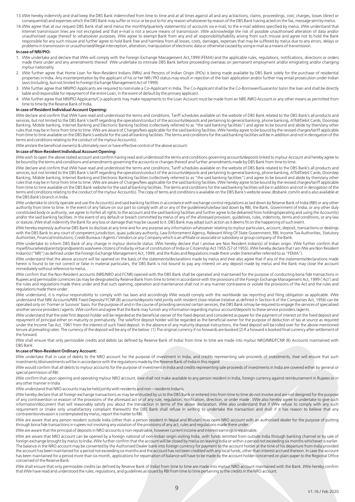- 13. I/We hereby indemnify and shall keep the DBS Bank indemnified from time to time and at all times against all and any act/actions, claims, proceedings, cost, charges, losses (direct or consequential) and expenses which the DBS Bank may suffer or incur or be put to for any reason whatsoever by reason of the DBS Bank having acted on the fax, message sent by me/us.
- 14.I/We agree that at our request DBS Bank shall send me/us the monthly/quarterly statement(s) of accounts via e-mail, to the e-mail address specified by me/us. I/We understand that Internet transmission lines are not encrypted and that e-mail is not a secure means of transmission. I/We acknowledge the risk of possible unauthorised alteration of data and/or unauthorised usage thereof to whatsoever purposes. I/We agree to exempt Bank from any and all responsibility/liability arising from such misuse and agree not to hold the Bank responsible for any such misuse and further agree to hold Bank free and harmless from all losses, costs, damages, expenses that may be suffered by me/us due to any errors, delays or problems in transmission or unauthorised/illegal interception, alteration, manipulation of electronic data or otherwise caused by using e-mail as a means of transmission.

#### **In case of NRI/PIO:**

- 1. I/We undertake and declare that I/We will comply with the Foreign Exchange Management Act,1999 (FEMA) and the applicable rules, regulations, notifications, directions or orders made there under and any amendments thereof. I/We undertake to intimate DBS Bank before proceeding overseas on permanent employment and/or emigrating and/or changing my/our nationality.
- 2. I/We further agree that Home Loan for Non-Resident Indians (NRIs) and Persons of Indian Origin (PIOs) is being made available by DBS Bank solely for the purchase of residential properties in India. Any misinterpretation by the applicant of his or her NRI / PIO status may result in rejection of the loan application and/or further may entail prosecution under Indian laws (including, but not limited to Foreign Exchange Management Act of 1999).
- 3. I/We further agree that NRI/PIO Applicants are required to nominate a Co-Applicant in India. The Co-Applicant shall be the Co-Borrower/Guarantor to/on the loan and shall be directly liable and responsible for repayment of the entire Loan, in the event of default by the primary applicant.
- 4. I/We further agree that NRI/PIO Applicants/Co-applicants may make repayments to the Loan Account must be made from an NRE /NRO Account or any other means as permitted from time to time by the Reserve Bank of India.

#### **In case of Resident Individual Account Opening:**

I/We declare and confirm that I/We have read and understood the terms and conditions, Tariff schedules available on the website of DBS Bank related to the DBS Bank's all products and services, but not limited to the DBS Bank's tariff regarding the operation/conduct of the accounts/deposits and pertaining to general banking, phone banking, ATM/Debit Cards, Doorstep Banking, Mobile banking, Internet Banking and Electronic Banking facilities (collectively referred to as "the said banking facilities") and agree to be bound and abide by them/any other rules that may be in force from time to time. I/We are aware of Charges/fees applicable for the said banking facilities. I/We hereby agree to be bound by the revised charges/tariff applicable from time to time available on the DBS Bank's website for the said all banking facilities. The terms and conditions for the said banking facilities will be in addition and not in derogation of the terms and conditions relating to the conduct of the my/our Account(s).

I/We am/are the beneficial owner(s) & ultimately own or have effective control of the above account.

#### **In case of Non-Resident Individual Account Opening:**

I/We wish to open the above stated account and confirm having read and understood the terms and conditions governing accounts/deposits linked to my/our Account and hereby agree to be bound by the terms and conditions and amendments governing the accounts or changes thereof and further amendments made by DBS Bank from time to time

I/We declare and confirm that I/We have read and understood the terms and conditions, Tariff schedules available on the website of DBS Bank related to the DBS Bank's all products and services, but not limited to the DBS Bank's tariff regarding the operation/conduct of the accounts/deposits and pertaining to general banking, phone banking, ATM/Debit Cards, Doorstep Banking, Mobile banking, Internet Banking and Electronic Banking facilities (collectively referred to as "the said banking facilities") and agree to be bound and abide by them/any other rules that may be in force from time to time. I/We are aware of Charges/fees applicable for the said banking facilities. I/We hereby agree to be bound by the revised charges/tariff applicable from time to time available on the DBS Bank website for the said all banking facilities. The terms and conditions for the said banking facilities will be in addition and not in derogation of the terms and conditions relating to the conduct of the my/our Account(s). The copy of terms and conditions is available on the DBS Bank's website www.dbsbank.com/in and is also available at the DBS Bank's branch in India.

I/We undertake to strictly operate and use the Account(s) and said banking facilities in accordance with exchange control regulations as laid down by Reserve Bank of India (RBI) or any other authority from time to time. In the event of any failure on our part to comply with all or any of the guidelines/rule/law laid down by RBI, the Bank, Government of India, or any other duly constituted body or authority, we agree to forfeit all rights to the account and the said banking facilities and further agree to be debarred from holding/operating and using the Account(s) and/or the said banking facilities. In the event of any default or breach committed by me/us of any of the aforesaid provision, guidelines, rules, indemnity, terms and conditions, or any law or statute, I/We shall indemnify the Bank for any loss or damage that may be caused to it. DBS Bank may adopt such action as it deems fit on the happening of such event.

I/We hereby expressly authorise DBS Bank to disclose at any time and for any purpose any information whatsoever relating to my/our particulars, account, deposit, transactions or dealings with the DBS Bank to any court of competent jurisdiction, quasi judiciary authority, Law Enforcement Agency, Relevant Wing Of State Government, RBI, Income Tax Authorities, Statutory Authorities, Financial Institutions, Credit Bureaus / Agents / Vendors or any Company which is an affiliate or associate or subsidiary or group company of the Bank.

I/We undertake to inform DBS Bank of any change in my/our domicile status. I/We hereby declare that I am/we are Non Resident Indian(s) of Indian origin. I/We further confirm that myself/ourselves/parents/grandparents was/were citizens of India by virtue of constitution of India or Citizenship Act 1955 (57 of 1955). I/We hereby declare that I am /We are Non Resident Indian(s) ("NRI") as defined under the Foreign Exchange Management Act, 1999, and the Rules and Regulations made there under (hereinafter referred to as "FEMA").

I/We understand that the above account will be opened on the basis of the statements/declarations made by me/us and I/we also agree that if any of the statements/declarations made herein is found to be not correct or false in material particulars, the DBS Bank is not bound to pay any interest on any deposit made by me/us and the Bank may close the account immediately without reference to me/us.

I/We confirm that the Non-Resident accounts (NRE/NRO and FCNR) opened with the DBS Bank shall be operated and maintained for the purpose of conducting bona fide transactions in Rupees and permissible currencies (as may be designated by Reserve Bank from time to time) in accordance with the provisions of the Foreign Exchange Management Act, 1999 ('Act') and the rules and regulations made there under and that such opening, operation and maintenance shall not in any manner contravene or violate the provisions of the Act and the rules and regulations made there under.

I/We understand, it is my/our responsibility to comply with tax laws and accordingly I/We would comply with the worldwide tax reporting and filing obligation as applicable. I/We understand that NRE Accounts/NRE Fixed Deposits/ FCNR (B) accounts/deposits held jointly with resident close relative (relative as defined in Section 6 of the Companies Act, 1956) can be operated only on 'Former or Survivor' basis. For the purpose of and in the course of providing services/ certain services, the DBS Bank is/may be required to engage the services of specialised another service providers / agents. I/We confirm and agree that the Bank may furnish any information regarding my/our account/deposits to these service providers /agents.

I/We understand that the sole/ first deposit holder will be regarded as the beneficial owner of the fixed deposit and considered as payee for the payment of interest on the fixed deposit and repayment of principal either on maturity or prematurely. The sole/first deposit holder will be regarded as the beneficial owner for the purpose of deduction of tax at source as required under the Income Tax Act, 1961 from the interest of such fixed deposit. In the absence of any maturity disposal instructions, the fixed deposit will be rolled over for the above-mentioned tenure at prevailing rates. The currency of the deposit will be any of the below: (1) The original currency if no forwards are booked (2) If a forward is booked final currency after settlement of the forward.

I/We shall ensure that only permissible credits and debits (as defined by Reserve Bank of India) from time to time are made into my/our NRO/NRE/FCNR (B) Accounts maintained with DBS Bank.

#### **In case of Non-Resident Ordinary Account:**

I/We undertake that in case of debits to the NRO account for the purpose of investment in India, and credits representing sale proceeds of investments, I/we will ensure that such investments /disinvestments will be in accordance with the regulations made by the Reserve Bank of India in this regard

I/We would confirm that all debits to my/our accounts for the purpose of investment in India and credits representing sale proceeds of investments in India are covered either by general or special permission of RBI.

I/We confirm that upon opening and operating my/our NRO account, I/we shall not make available to any person resident in India, foreign currency against reimbursement in Rupees or in any other manner in India

I/We understand that NRO accounts may be held jointly with residents and non – residents Indians.

I/We hereby declare that all foreign exchange transactions as may be entrusted by us to the DBS Bank or entered into from time to time do not involve and are not designed for the purpose of any contravention or evasion of the provisions of the aforesaid act or of any rule, regulation, notification, direction, or order made . I/We also hereby agree to undertake to give such information/document that will reasonably satisfy you about the transaction in terms of the above declaration. I/We also understand that if I/We refuse to comply with any such requirement or (make only unsatisfactory compliant therewith) the DBS Bank shall refuse in writing to undertake the transaction and shall if it has reason to believe that any contravention/evasion is contemplated by me/us, report the matter to RBI.

I/We are aware that any person resident outside India (other than a person resident in Nepal and Bhutan) may open NRO account with an authorised dealer for the purpose of putting through bona fide transactions in rupees not involving any violation of the provisions of any act, rules and regulations made there under.

I/We are aware that the principal of deposits in NRO accounts is non-repatriable, however current income and interest earnings is repatriable.

I/We are aware that NRO account can be opened by a foreign national of non-Indian origin visiting India, with funds remitted from outside India through banking channel or by sale of foreign exchange brought by me/us to India. I/We further confirm that the account will be closed by me/us on leaving India or within a period not exceeding six months whichever is earlier. The balance in the NRO account may be converted by the Authorised Dealer bank into foreign currency for payment to the account holder at the time of his departure from India provided the account has been maintained for a period not exceeding six months and the account has not been credited with any local funds, other than interest accrued thereon. In case the account has been maintained for a period more than six month, applications for repatriation of balance will have to be made by the account holder concerned on plain paper to the Regional Office concerned of the Reserve Bank.

I/We shall ensure that only permissible credits (as defined by Reserve Bank of India) from time to time are made into my/our NRO account maintained with the Bank. I/We hereby confirm that I/We have read and understood the rules, regulations, and guidelines as issued by RBI from time to time pertaining to the credits in the NRO account.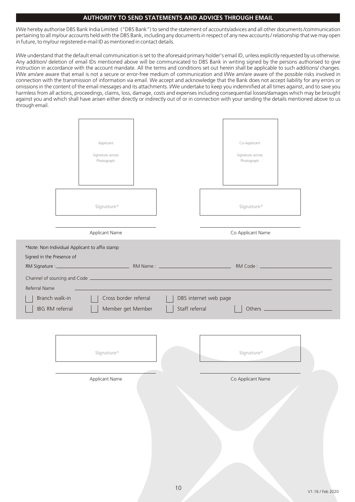# **AUTHORITY TO SEND STATEMENTS AND ADVICES THROUGH EMAIL**

I/We hereby authorise DBS Bank India Limited ("DBS Bank") to send the statement of accounts/advices and all other documents /communication pertaining to all my/our accounts held with the DBS Bank, including any documents in respect of any new accounts / relationship that we may open in future, to my/our registered e-mail ID as mentioned in contact details.

I/We understand that the default email communication is set to the aforesaid primary holder's email ID, unless explicitly requested by us otherwise. Any addition/ deletion of email IDs mentioned above will be communicated to DBS Bank in writing signed by the persons authorised to give instruction in accordance with the account mandate. All the terms and conditions set out herein shall be applicable to such additions/ changes. I/We am/are aware that email is not a secure or error-free medium of communication and I/We am/are aware of the possible risks involved in connection with the transmission of information via email. We accept and acknowledge that the Bank does not accept liability for any errors or omissions in the content of the email messages and its attachments. I/We undertake to keep you indemnified at all times against, and to save you harmless from all actions, proceedings, claims, loss, damage, costs and expenses including consequential losses/damages which may be brought against you and which shall have arisen either directly or indirectly out of or in connection with your sending the details mentioned above to us through email.

|                                              | Applicant<br>Signature across<br>Photograph    |                |                       | Co-Applicant<br>Signature across<br>Photograph |  |
|----------------------------------------------|------------------------------------------------|----------------|-----------------------|------------------------------------------------|--|
|                                              | Signature*                                     |                |                       | Signature*                                     |  |
|                                              | Applicant Name                                 |                |                       | Co Applicant Name                              |  |
| Signed in the Presence of<br>RM Signature :_ | *Note: Non Individual Applicant to affix stamp |                |                       |                                                |  |
| Referral Name                                |                                                |                |                       |                                                |  |
| Branch walk-in<br>IBG RM referral            | Cross border referral<br>Member get Member     | Staff referral | DBS internet web page |                                                |  |
|                                              | Signature*                                     |                |                       | Signature*                                     |  |
|                                              | Applicant Name                                 |                |                       | Co Applicant Name                              |  |
|                                              |                                                |                |                       |                                                |  |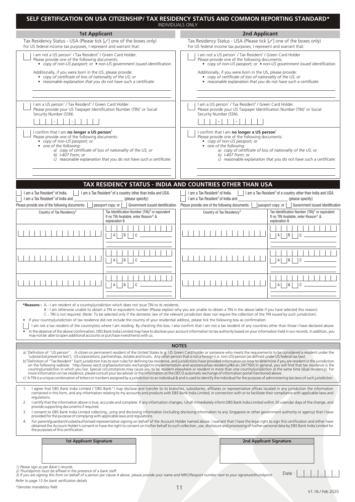|                                                                                                                                                                                                |                                                                                                                                                                                  | SELF CERTIFICATION ON USA CITIZENSHIP/ TAX RESIDENCY STATUS AND COMMON REPORTING STANDARD*<br><b>INDIVIDUALS ONLY</b>                                                                                                                                                                                                                                                                                                                                                                                                                                                                                                                                                                                                                                                                                                                                                                                                                                                                                                                                                                                                                                                                                                                                                                                                                                                                            |                                                                                                                                                                                              |  |  |
|------------------------------------------------------------------------------------------------------------------------------------------------------------------------------------------------|----------------------------------------------------------------------------------------------------------------------------------------------------------------------------------|--------------------------------------------------------------------------------------------------------------------------------------------------------------------------------------------------------------------------------------------------------------------------------------------------------------------------------------------------------------------------------------------------------------------------------------------------------------------------------------------------------------------------------------------------------------------------------------------------------------------------------------------------------------------------------------------------------------------------------------------------------------------------------------------------------------------------------------------------------------------------------------------------------------------------------------------------------------------------------------------------------------------------------------------------------------------------------------------------------------------------------------------------------------------------------------------------------------------------------------------------------------------------------------------------------------------------------------------------------------------------------------------------|----------------------------------------------------------------------------------------------------------------------------------------------------------------------------------------------|--|--|
| <b>1st Applicant</b>                                                                                                                                                                           |                                                                                                                                                                                  | <b>2nd Applicant</b>                                                                                                                                                                                                                                                                                                                                                                                                                                                                                                                                                                                                                                                                                                                                                                                                                                                                                                                                                                                                                                                                                                                                                                                                                                                                                                                                                                             |                                                                                                                                                                                              |  |  |
| Tax Residency Status - USA (Please tick [√] one of the boxes only)<br>For US federal income tax purposes, I represent and warrant that:                                                        |                                                                                                                                                                                  | Tax Residency Status - USA (Please tick [√] one of the boxes only)<br>For US federal income tax purposes, I represent and warrant that:                                                                                                                                                                                                                                                                                                                                                                                                                                                                                                                                                                                                                                                                                                                                                                                                                                                                                                                                                                                                                                                                                                                                                                                                                                                          |                                                                                                                                                                                              |  |  |
| I am not a US person <sup>1</sup> / Tax Resident <sup>2</sup> / Green Card Holder.<br>Please provide one of the following documents:                                                           | • copy of non-US passport; or • non-US government issued identification.                                                                                                         | I am not a US person <sup>1</sup> / Tax Resident <sup>2</sup> / Green Card Holder.<br>Please provide one of the following documents:<br>• copy of non-US passport; or • non-US government issued identification.                                                                                                                                                                                                                                                                                                                                                                                                                                                                                                                                                                                                                                                                                                                                                                                                                                                                                                                                                                                                                                                                                                                                                                                 |                                                                                                                                                                                              |  |  |
| Additionally, if you were born in the US, please provide:<br>• copy of certificate of loss of nationality of the US; or<br>· reasonable explanation that you do not have such a certificate:   |                                                                                                                                                                                  | Additionally, if you were born in the US, please provide:<br>• copy of certificate of loss of nationality of the US; or<br>• reasonable explanation that you do not have such a certificate:                                                                                                                                                                                                                                                                                                                                                                                                                                                                                                                                                                                                                                                                                                                                                                                                                                                                                                                                                                                                                                                                                                                                                                                                     |                                                                                                                                                                                              |  |  |
| I am a US person <sup>1</sup> / Tax Resident <sup>2</sup> / Green Card Holder.<br>Please provide your US Taxpayer Identification Number (TIN) <sup>3</sup> or Social<br>Security Number (SSN). |                                                                                                                                                                                  | I am a US person <sup>1</sup> / Tax Resident <sup>2</sup> / Green Card Holder.<br>Please provide your US Taxpayer Identification Number (TIN) <sup>3</sup> or Social<br>Security Number (SSN).                                                                                                                                                                                                                                                                                                                                                                                                                                                                                                                                                                                                                                                                                                                                                                                                                                                                                                                                                                                                                                                                                                                                                                                                   |                                                                                                                                                                                              |  |  |
| I confirm that I am no longer a US person <sup>1</sup><br>Please provide one of the following documents:<br>• copy of non-US passport; or<br>• one of the following:<br>b) $1-407$ Form; or    | a) copy of certificate of loss of nationality of the US; or<br>c) reasonable explanation that you do not have such a certificate:                                                | I confirm that I am no longer a US person <sup>1</sup><br>Please provide one of the following documents:<br>• copy of non-US passport; or<br>• one of the following:<br>a) copy of certificate of loss of nationality of the US; or<br>b) $1-407$ Form; or                                                                                                                                                                                                                                                                                                                                                                                                                                                                                                                                                                                                                                                                                                                                                                                                                                                                                                                                                                                                                                                                                                                                       | c) reasonable explanation that you do not have such a certificate:                                                                                                                           |  |  |
|                                                                                                                                                                                                |                                                                                                                                                                                  | TAX RESIDENCY STATUS - INDIA AND COUNTRIES OTHER THAN USA                                                                                                                                                                                                                                                                                                                                                                                                                                                                                                                                                                                                                                                                                                                                                                                                                                                                                                                                                                                                                                                                                                                                                                                                                                                                                                                                        |                                                                                                                                                                                              |  |  |
| I am a Tax Resident <sup>2</sup> of India.<br>I am a Tax Resident <sup>2</sup> of India and                                                                                                    | I am a Tax Resident <sup>2</sup> of a country other than India and USA.<br>(please specify)                                                                                      | I am a Tax Resident <sup>2</sup> of India.<br>I am a Tax Resident <sup>2</sup> of India and                                                                                                                                                                                                                                                                                                                                                                                                                                                                                                                                                                                                                                                                                                                                                                                                                                                                                                                                                                                                                                                                                                                                                                                                                                                                                                      | I am a Tax Resident <sup>2</sup> of a country other than India and USA.<br>(please specify)                                                                                                  |  |  |
| Please provide one of the following documents:<br>Country of Tax Residency <sup>2</sup>                                                                                                        | Government issued identification<br>passport copy; or $ $<br>Tax Identification Number (TIN) <sup>3</sup> or equivalent<br>If no TIN Available, enter Reason* &<br>explanation B | Please provide one of the following documents:<br>Country of Tax Residency <sup>2</sup>                                                                                                                                                                                                                                                                                                                                                                                                                                                                                                                                                                                                                                                                                                                                                                                                                                                                                                                                                                                                                                                                                                                                                                                                                                                                                                          | passport copy; or $\vert$ $\vert$<br>Government issued identification<br>Tax Identification Number (TIN) <sup>3</sup> or equivalent<br>If no TIN Available, enter Reason* &<br>explanation B |  |  |
|                                                                                                                                                                                                | B<br>C                                                                                                                                                                           |                                                                                                                                                                                                                                                                                                                                                                                                                                                                                                                                                                                                                                                                                                                                                                                                                                                                                                                                                                                                                                                                                                                                                                                                                                                                                                                                                                                                  | B<br>C<br>$\overline{A}$                                                                                                                                                                     |  |  |
|                                                                                                                                                                                                | B<br>A l<br>C                                                                                                                                                                    |                                                                                                                                                                                                                                                                                                                                                                                                                                                                                                                                                                                                                                                                                                                                                                                                                                                                                                                                                                                                                                                                                                                                                                                                                                                                                                                                                                                                  | C<br>$\mathsf{A}$<br>B                                                                                                                                                                       |  |  |
|                                                                                                                                                                                                | $ A $ $ A $ $ A $                                                                                                                                                                |                                                                                                                                                                                                                                                                                                                                                                                                                                                                                                                                                                                                                                                                                                                                                                                                                                                                                                                                                                                                                                                                                                                                                                                                                                                                                                                                                                                                  | $A \mid B \mid C$                                                                                                                                                                            |  |  |
| *Reasons : A - I am resident of a country/jurisdiction which does not issue TIN to its residents.<br>may not be able to open additional accounts or purchase investments with us.              |                                                                                                                                                                                  | B - I am otherwise unable to obtain a TIN or equivalent number (Please explain why you are unable to obtain a TIN in the above table if you have selected this reason).<br>C - TIN is not required. (Note: To be selected only if the domestic law of the relevant jurisdiction does not require the collection of the TIN issued by such jurisdiction).<br>If your country/jurisdiction of tax residence did not include the country of your residential address, please tick the following box as confirmation:<br>I am not a tax resident of the country(ies) where I am residing. By checking this box, I also confirm that I am not a tax resident of any countries other than those I have declared above.<br>In the absence of the above confirmation, DBS Bank India Limited may have to disclose your account information to tax authority based on your information held in our records. In addition, you                                                                                                                                                                                                                                                                                                                                                                                                                                                                              |                                                                                                                                                                                              |  |  |
|                                                                                                                                                                                                |                                                                                                                                                                                  | <b>NOTES</b>                                                                                                                                                                                                                                                                                                                                                                                                                                                                                                                                                                                                                                                                                                                                                                                                                                                                                                                                                                                                                                                                                                                                                                                                                                                                                                                                                                                     |                                                                                                                                                                                              |  |  |
|                                                                                                                                                                                                |                                                                                                                                                                                  | a) 'Definition of "US person" : A citizen or permanent resident of the United States (e.g. US Green Card holder or someone who meets the requirements to be considered a resident under the<br>'substantial presence test'); US corporations, partnerships, estates and trusts; Any other person that is not a foreign (i.e. non-US) person (as defined under US federal tax law).<br>b) <sup>2</sup> Definition of "Tax Resident" Each jurisdiction has its own rules for defining tax residence, and jurisdictions have provided information on how to determine if you are resident in the jurisdiction<br>on the following website: http://www.oecd.org/tax/automatic-exchange/crs-implementation-and-assistance/tax-residency/#d.en.347760\ In general, you will find that tax residence is the<br>country/jurisdiction in which you live. Special circumstances may cause you to be resident elsewhere or resident in more than one country/jurisdiction at the same time (dual residency). For<br>more information on tax residence, please consult your tax adviser or the information at the OECD automatic exchange of information portal mentioned above.<br>c) <sup>3</sup> A TIN is a unique combination of letters or numbers assigned by a jurisdiction to an individual & and is used to identify the individual for the purpose of administering tax laws of such jurisdiction. |                                                                                                                                                                                              |  |  |
| regulations.<br>2.<br>provide supporting documents if required.<br>3.<br>provided for the purpose of complying with applicable laws and regulations.                                           |                                                                                                                                                                                  | 1. I agree that DBS Bank India Limited ("DBS Bank") may disclose and transfer to its branches, subsidiaries, affiliates or representative offices located in any jurisdiction the information<br>contained in this form, and any information relating to my accounts and products with DBS Bank India Limited, in connection with or to facilitate their compliance with applicable laws and<br>I certify that the information above is true, accurate and complete. If any information changes, I shall immediately inform DBS Bank India Limited within 30 calendar days of the change, and<br>I consent to DBS Bank India Limited collecting, using and disclosing information (including disclosing information to any Singapore or other government authority or agency) that I have                                                                                                                                                                                                                                                                                                                                                                                                                                                                                                                                                                                                        |                                                                                                                                                                                              |  |  |
| 4.<br>the purposes of this certification.                                                                                                                                                      |                                                                                                                                                                                  | For parent/quardian/trustee/authorised representative signing on behalf of the Account Holder named above: I warrant that I have the legal right to sign this certification and either have<br>obtained the Account Holder's consent or have the right to consent on his/her behalf to such collection, use, disclosure and processing of his/her personal data by DBS Bank India Limited for                                                                                                                                                                                                                                                                                                                                                                                                                                                                                                                                                                                                                                                                                                                                                                                                                                                                                                                                                                                                    |                                                                                                                                                                                              |  |  |
| <b>1st Applicant Signature</b>                                                                                                                                                                 |                                                                                                                                                                                  | <b>2nd Applicant Signature</b>                                                                                                                                                                                                                                                                                                                                                                                                                                                                                                                                                                                                                                                                                                                                                                                                                                                                                                                                                                                                                                                                                                                                                                                                                                                                                                                                                                   |                                                                                                                                                                                              |  |  |
| 1) Please sign as per Bank's records.<br>2) Thumbprints must be affixed in the presence of a bank staff.<br>Refer to page 13 for bank verification details                                     |                                                                                                                                                                                  | 3) If you are signing this form on behalf of a person per clause 4 above, please provide your name and NRIC/Passport number next to your signature/thumbprint.                                                                                                                                                                                                                                                                                                                                                                                                                                                                                                                                                                                                                                                                                                                                                                                                                                                                                                                                                                                                                                                                                                                                                                                                                                   | Date                                                                                                                                                                                         |  |  |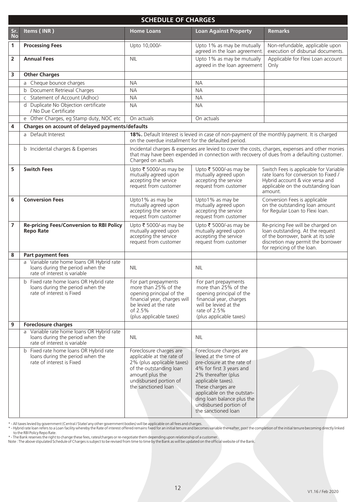|                | <b>SCHEDULE OF CHARGES</b>                                                                                    |                                                                                                                                                                                   |                                                                                                                                                                                                                                                                                           |                                                                                                                                                                                                |  |
|----------------|---------------------------------------------------------------------------------------------------------------|-----------------------------------------------------------------------------------------------------------------------------------------------------------------------------------|-------------------------------------------------------------------------------------------------------------------------------------------------------------------------------------------------------------------------------------------------------------------------------------------|------------------------------------------------------------------------------------------------------------------------------------------------------------------------------------------------|--|
| Sr.<br>No      | Items (INR)                                                                                                   | <b>Home Loans</b>                                                                                                                                                                 | <b>Loan Against Property</b>                                                                                                                                                                                                                                                              | <b>Remarks</b>                                                                                                                                                                                 |  |
| 1              | <b>Processing Fees</b>                                                                                        | Upto 10,000/-                                                                                                                                                                     | Upto 1% as may be mutually<br>agreed in the loan agreement.                                                                                                                                                                                                                               | Non-refundable, applicable upon<br>execution of disbursal documents.                                                                                                                           |  |
| $\overline{2}$ | <b>Annual Fees</b>                                                                                            | <b>NIL</b>                                                                                                                                                                        | Upto 1% as may be mutually<br>agreed in the loan agreement                                                                                                                                                                                                                                | Applicable for Flexi Loan account<br>Only                                                                                                                                                      |  |
| 3              | <b>Other Charges</b>                                                                                          |                                                                                                                                                                                   |                                                                                                                                                                                                                                                                                           |                                                                                                                                                                                                |  |
|                | a Cheque bounce charges                                                                                       | <b>NA</b>                                                                                                                                                                         | <b>NA</b>                                                                                                                                                                                                                                                                                 |                                                                                                                                                                                                |  |
|                | b Document Retrieval Charges                                                                                  | <b>NA</b>                                                                                                                                                                         | <b>NA</b>                                                                                                                                                                                                                                                                                 |                                                                                                                                                                                                |  |
|                | c Statement of Account (Adhoc)                                                                                | <b>NA</b>                                                                                                                                                                         | <b>NA</b>                                                                                                                                                                                                                                                                                 |                                                                                                                                                                                                |  |
|                | d Duplicate No Objection certificate<br>/ No Due Certificate                                                  | <b>NA</b>                                                                                                                                                                         | <b>NA</b>                                                                                                                                                                                                                                                                                 |                                                                                                                                                                                                |  |
|                | e Other Charges, eg Stamp duty, NOC etc                                                                       | On actuals                                                                                                                                                                        | On actuals                                                                                                                                                                                                                                                                                |                                                                                                                                                                                                |  |
| 4              | Charges on account of delayed payments/defaults                                                               |                                                                                                                                                                                   |                                                                                                                                                                                                                                                                                           |                                                                                                                                                                                                |  |
|                | a Default Interest                                                                                            | on the overdue installment for the defaulted period.                                                                                                                              |                                                                                                                                                                                                                                                                                           | 18%. Default Interest is levied in case of non-payment of the monthly payment. It is charged                                                                                                   |  |
|                | b Incidental charges & Expenses                                                                               | Charged on actuals                                                                                                                                                                |                                                                                                                                                                                                                                                                                           | Incidental charges & expenses are levied to cover the costs, charges, expenses and other monies<br>that may have been expended in connection with recovery of dues from a defaulting customer. |  |
| 5              | <b>Switch Fees</b>                                                                                            | Upto ₹ 5000/-as may be<br>mutually agreed upon<br>accepting the service<br>request from customer                                                                                  | Upto ₹ 5000/-as may be<br>mutually agreed upon<br>accepting the service<br>request from customer                                                                                                                                                                                          | Switch Fees is applicable for Variable<br>rate loans for conversion to Fixed /<br>Hybrid account & vice versa and<br>applicable on the outstanding loan<br>amount.                             |  |
| 6              | <b>Conversion Fees</b>                                                                                        | Upto1% as may be<br>mutually agreed upon<br>accepting the service<br>request from customer                                                                                        | Upto1% as may be<br>mutually agreed upon<br>accepting the service<br>request from customer                                                                                                                                                                                                | Conversion Fees is applicable<br>on the outstanding loan amount<br>for Regular Loan to Flexi loan.                                                                                             |  |
| $\overline{7}$ | Re-pricing Fees/Conversion to RBI Policy<br><b>Repo Rate</b>                                                  | Upto ₹ 5000/-as may be<br>mutually agreed upon<br>accepting the service<br>request from customer                                                                                  | Upto ₹ 5000/-as may be<br>mutually agreed upon<br>accepting the service<br>request from customer                                                                                                                                                                                          | Re-pricing Fee will be charged on<br>loan outstanding. At the request<br>of the borrower, bank at its sole<br>discretion may permit the borrower<br>for repricing of the loan.                 |  |
| 8              | Part payment fees                                                                                             |                                                                                                                                                                                   |                                                                                                                                                                                                                                                                                           |                                                                                                                                                                                                |  |
|                | a Variable rate home loans OR Hybrid rate<br>loans during the period when the<br>rate of interest is variable | <b>NIL</b>                                                                                                                                                                        | <b>NIL</b>                                                                                                                                                                                                                                                                                |                                                                                                                                                                                                |  |
|                | b Fixed rate home loans OR Hybrid rate<br>loans during the period when the<br>rate of interest is Fixed       | For part prepayments<br>more than 25% of the<br>opening principal of the<br>financial year, charges will<br>be levied at the rate<br>of 2.5%<br>(plus applicable taxes)           | For part prepayments<br>more than 25% of the<br>opening principal of the<br>financial year, charges<br>will be levied at the<br>rate of 2.5%<br>(plus applicable taxes)                                                                                                                   |                                                                                                                                                                                                |  |
| 9              | <b>Foreclosure charges</b>                                                                                    |                                                                                                                                                                                   |                                                                                                                                                                                                                                                                                           |                                                                                                                                                                                                |  |
|                | a Variable rate home loans OR Hybrid rate<br>loans during the period when the<br>rate of interest is variable | <b>NIL</b>                                                                                                                                                                        | <b>NIL</b>                                                                                                                                                                                                                                                                                |                                                                                                                                                                                                |  |
|                | b Fixed rate home loans OR Hybrid rate<br>loans during the period when the<br>rate of interest is Fixed       | Foreclosure charges are<br>applicable at the rate of<br>2% (plus applicable taxes)<br>of the outstanding loan<br>amount plus the<br>undisbursed portion of<br>the sanctioned loan | Foreclosure charges are<br>levied at the time of<br>pre-closure at the rate of<br>4% for first 3 years and<br>2% thereafter (plus<br>applicable taxes).<br>These charges are<br>applicable on the outstan-<br>ding loan balance plus the<br>undisbursed portion of<br>the sanctioned loan |                                                                                                                                                                                                |  |

\* - All taxes levied by government (Central / State/ any other government bodies) will be applicable on all fees and charges.<br>\* - Hybrid rate loan refers to a Loan facility whereby the Rate of interest offered remains fixe RBI Policy Repo Rate.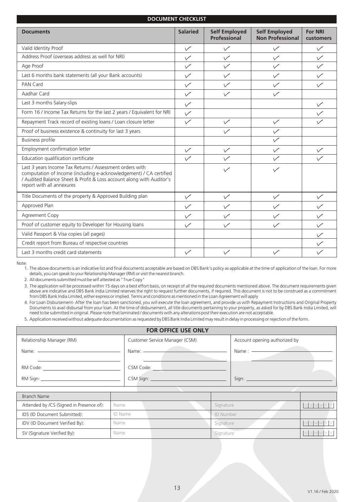| <b>DOCUMENT CHECKLIST</b>                                                                                                                                                                                                           |                          |                                      |                                                 |                             |
|-------------------------------------------------------------------------------------------------------------------------------------------------------------------------------------------------------------------------------------|--------------------------|--------------------------------------|-------------------------------------------------|-----------------------------|
| <b>Documents</b>                                                                                                                                                                                                                    | <b>Salaried</b>          | <b>Self Employed</b><br>Professional | <b>Self Employed</b><br><b>Non Professional</b> | <b>For NRI</b><br>customers |
| Valid Identity Proof                                                                                                                                                                                                                | $\checkmark$             | $\checkmark$                         | $\checkmark$                                    | $\checkmark$                |
| Address Proof (overseas address as well for NRI)                                                                                                                                                                                    | $\checkmark$             | $\checkmark$                         | $\checkmark$                                    | $\checkmark$                |
| Age Proof                                                                                                                                                                                                                           | $\checkmark$             | $\checkmark$                         | $\checkmark$                                    | $\checkmark$                |
| Last 6 months bank statements (all your Bank accounts)                                                                                                                                                                              | $\checkmark$             | $\checkmark$                         | $\checkmark$                                    | $\checkmark$                |
| <b>PAN Card</b>                                                                                                                                                                                                                     | $\checkmark$             | $\checkmark$                         | $\checkmark$                                    | $\checkmark$                |
| Aadhar Card                                                                                                                                                                                                                         | $\sqrt{}$                | $\checkmark$                         | $\checkmark$                                    |                             |
| Last 3 months Salary-slips                                                                                                                                                                                                          | $\sqrt{}$                |                                      |                                                 |                             |
| Form 16 / Income Tax Returns for the last 2 years / Equivalent for NRI                                                                                                                                                              | $\checkmark$             |                                      |                                                 |                             |
| Repayment Track record of existing loans / Loan closure letter                                                                                                                                                                      | $\checkmark$             | $\checkmark$                         | $\checkmark$                                    |                             |
| Proof of business existence & continuity for last 3 years                                                                                                                                                                           |                          | $\checkmark$                         | $\checkmark$                                    |                             |
| <b>Business profile</b>                                                                                                                                                                                                             |                          |                                      |                                                 |                             |
| Employment confirmation letter                                                                                                                                                                                                      | $\checkmark$             | $\checkmark$                         | $\checkmark$                                    |                             |
| Education qualification certificate                                                                                                                                                                                                 | $\overline{\mathscr{S}}$ |                                      |                                                 |                             |
| Last 3 years Income Tax Returns / Assessment orders with<br>computation of Income (including e-acknowledgement) / CA certified<br>/ Audited Balance Sheet & Profit & Loss account along with Auditor's<br>report with all annexures |                          | $\sqrt{}$                            | $\checkmark$                                    |                             |
| Title Documents of the property & Approved Building plan                                                                                                                                                                            | $\checkmark$             | $\checkmark$                         | $\checkmark$                                    | $\checkmark$                |
| Approved Plan                                                                                                                                                                                                                       | $\checkmark$             | $\checkmark$                         | $\checkmark$                                    | $\checkmark$                |
| Agreement Copy                                                                                                                                                                                                                      | $\sqrt{}$                | $\checkmark$                         | $\checkmark$                                    | $\checkmark$                |
| Proof of customer equity to Developer for Housing loans                                                                                                                                                                             | $\checkmark$             | $\checkmark$                         |                                                 |                             |
| Valid Passport & Visa copies (all pages)                                                                                                                                                                                            |                          |                                      |                                                 |                             |
| Credit report from Bureau of respective countries                                                                                                                                                                                   |                          |                                      |                                                 |                             |
| Last 3 months credit card statements                                                                                                                                                                                                | $\sqrt{}$                | $\checkmark$                         | $\checkmark$                                    |                             |

Note:

1. The above documents is an indicative list and final documents acceptable are based on DBS Bank's policy as applicable at the time of application of the loan. For more details, you can speak to your Relationship Manager (RM) or visit the nearest branch.

2. All documents submitted must be self attested as "True Copy"

3. The application will be processed within 15 days on a best effort basis, on receipt of all the required documents mentioned above. The document requirements given above are indicative and DBS Bank India Limited reserves the right to request further documents, if required. This document is not to be construed as a commitment from DBS Bank India Limited, either express or implied. Terms and conditions as mentioned in the Loan Agreement will apply

4. For Loan Disbursement- After the loan has been sanctioned, you will execute the loan agreement, and provide us with Repayment Instructions and Original Property Documents to avail disbursal from your loan. At the time of disbursement, all title documents pertaining to your property, as asked for by DBS Bank India Limited, will need to be submitted in original. Please note that laminated / documents with any alterations post their execution are not acceptable.

5. Application received without adequate documentation as requested by DBS Bank India Limited may result in delay in processing or rejection of the form.

| <b>FOR OFFICE USE ONLY</b>                                                                                                                                                                                                     |                                      |                                                                                                                                                                                                                                                                                        |  |
|--------------------------------------------------------------------------------------------------------------------------------------------------------------------------------------------------------------------------------|--------------------------------------|----------------------------------------------------------------------------------------------------------------------------------------------------------------------------------------------------------------------------------------------------------------------------------------|--|
| Relationship Manager (RM)                                                                                                                                                                                                      | Customer Service Manager (CSM)       | Account opening authorized by                                                                                                                                                                                                                                                          |  |
| Name: <u>______________________________</u>                                                                                                                                                                                    | Name: <u>_______________________</u> | Name: $\frac{1}{2}$                                                                                                                                                                                                                                                                    |  |
| RM Code: The contract of the contract of the contract of the contract of the contract of the contract of the contract of the contract of the contract of the contract of the contract of the contract of the contract of the c | CSM Code: <u>Call Communication</u>  |                                                                                                                                                                                                                                                                                        |  |
|                                                                                                                                                                                                                                |                                      | Sign: $\frac{1}{2}$ Sign: $\frac{1}{2}$ Sign: $\frac{1}{2}$ Sign: $\frac{1}{2}$ Sign: $\frac{1}{2}$ Sign: $\frac{1}{2}$ Sign: $\frac{1}{2}$ Sign: $\frac{1}{2}$ Sign: $\frac{1}{2}$ Sign: $\frac{1}{2}$ Sign: $\frac{1}{2}$ Sign: $\frac{1}{2}$ Sign: $\frac{1}{2}$ Sign: $\frac{1}{2$ |  |

| Branch Name                              |         |                  |  |
|------------------------------------------|---------|------------------|--|
| Attended by /CS (Signed in Presence of): | Name    | Signature        |  |
| IDS (ID Document Submitted):             | ID Name | <b>ID Number</b> |  |
| IDV (ID Document Verified By):           | Name    | Signature        |  |
| SV (Signature Verified By):              | Name    | Signature        |  |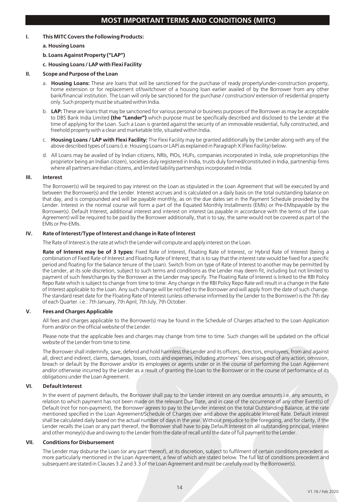# **MOST IMPORTANT TERMS AND CONDITIONS (MITC)**

# **I. This MITC Covers the Following Products:**

#### **a. Housing Loans**

# **b. Loans Against Property ("LAP")**

# **c. Housing Loans / LAP with Flexi Facility**

### **II. Scope and Purpose of the Loan**

- a. **Housing Loans:** These are loans that will be sanctioned for the purchase of ready property/under-construction property, home extension or for replacement of/switchover of a housing loan earlier availed of by the Borrower from any other bank/financial institution. The Loan will only be sanctioned for the purchase / construction/ extension of residential property only. Such property must be situated within India.
- b. **LAP:** These are loans that may be sanctioned for various personal or business purposes of the Borrower as may be acceptable to DBS Bank India Limited **(the "Lender")** which purpose must be specifically described and disclosed to the Lender at the time of applying for the Loan. Such a Loan is granted against the security of an immovable residential, fully constructed, and freehold property with a clear and marketable title, situated within India.
- c. **Housing Loans / LAP with Flexi Facility:** The Flexi Facility may be granted additionally by the Lender along with any of the above described types of Loans (i.e. Housing Loans or LAP) as explained in Paragraph X (Flexi Facility) below.
- d. All Loans may be availed of by Indian citizens, NRIs, PIOs, HUFs, companies incorporated in India, sole proprietorships (the proprietor being an Indian citizen), societies duly registered in India, trusts duly formed/constituted in India, partnership firms where all partners are Indian citizens, and limited liability partnerships incorporated in India.

#### **III. Interest**

The Borrower(s) will be required to pay interest on the Loan as stipulated in the Loan Agreement that will be executed by and between the Borrower(s) and the Lender. Interest accrues and is calculated on a daily basis on the total outstanding balance on that day, and is compounded and will be payable monthly, as on the due dates set in the Payment Schedule provided by the Lender. Interest in the normal course will form a part of the Equated Monthly Installments (EMIs) or Pre-EMIspayable by the Borrower(s). Default Interest, additional interest and interest on interest (as payable in accordance with the terms of the Loan Agreement) will be required to be paid by the Borrower additionally, that is to say, the same would not be covered as part of the EMIs or Pre-EMIs.

# **IV. Rate of Interest/Type of Interest and change in Rate of Interest**

The Rate of Interest is the rate at which the Lender will compute and apply interest on the Loan.

**Rate of Interest may be of 3 types:** Fixed Rate of Interest, Floating Rate of Interest, or Hybrid Rate of Interest (being a combination of Fixed Rate of Interest and Floating Rate of Interest, that is to say that the interest rate would be fixed for a specific period and floating for the balance tenure of the Loan). Switch from on type of Rate of Interest to another may be permitted by the Lender, at its sole discretion, subject to such terms and conditions as the Lender may deem fit, including but not limited to payment of such fees/charges by the Borrower as the Lender may specify. The Floating Rate of Interest is linked to the RBI Policy Repo Rate which is subject to change from time to time. Any change in the RBI Policy Repo Rate will result in a change in the Rate of Interest applicable to the Loan. Any such change will be notified to the Borrower and will apply from the date of such change. The standard reset date for the Floating Rate of Interest (unless otherwise informed by the Lender to the Borrower) is the 7th day of each Quarter. i.e.: 7th January, 7th April, 7th July, 7th October.

#### **V. Fees and Charges Applicable**

All fees and charges applicable to the Borrower(s) may be found in the Schedule of Charges attached to the Loan Application Form and/or on the official website of the Lender.

Please note that the applicable fees and charges may change from time to time. Such changes will be updated on the official website of the Lender from time to time.

The Borrower shall indemnify, save, defend and hold harmless the Lender and its officers, directors, employees, from and against all, direct and indirect, claims, damages, losses, costs and expenses, including attorneys' fees arising out of any action, omission, breach or default by the Borrower and/or its employees or agents under or in the course of performing the Loan Agreement and/or otherwise incurred by the Lender as a result of granting the Loan to the Borrower or in the course of performance of its obligations under the Loan Agreement.

# **VI. Default Interest**

In the event of payment defaults, the Borrower shall pay to the Lender interest on any overdue amounts i.e. any amounts, in relation to which payment has not been made on the relevant Due Date, and in case of the occurrence of any other Event(s) of Default (not for non-payment), the Borrower agrees to pay to the Lender interest on the total Outstanding Balance, at the rate mentioned specified in the Loan Agreement/Schedule of Charges over and above the applicable Interest Rate. Default interest shall be calculated daily based on the actual number of days in the year. Without prejudice to the foregoing, and for clarity, if the Lender recalls the Loan or any part thereof, the Borrower shall have to pay Default Interest on all outstanding principal, interest and other money(s) due and owing to the Lender from the date of recall until the date of full payment to the Lender.

#### **VII. Conditions for Disbursement**

The Lender may disburse the Loan (or any part thereof), at its discretion, subject to fulfilment of certain conditions precedent as more particularly mentioned in the Loan Agreement, a few of which are stated below. The full list of conditions precedent and subsequent are stated in Clauses 3.2 and 3.3 of the Loan Agreement and must be carefully read by the Borrower(s).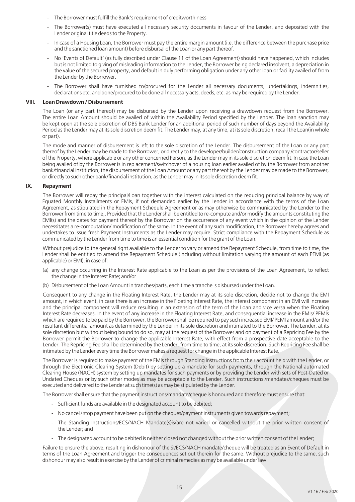- The Borrower must fulfill the Bank's requirement of creditworthiness
- The Borrower(s) must have executed all necessary security documents in favour of the Lender, and deposited with the Lender original title deeds to the Property.
- In case of a Housing Loan, the Borrower must pay the entire margin amount (i.e. the difference between the purchase price and the sanctioned loan amount) before disbursal of the Loan or any part thereof.
- No 'Events of Default' (as fully described under Clause 11 of the Loan Agreement) should have happened, which includes but is not limited to giving of misleading information to the Lender, the Borrower being declared insolvent, a depreciation in the value of the secured property, and default in duly performing obligation under any other loan or facility availed of from the Lender by the Borrower.
- The Borrower shall have furnished to/procured for the Lender all necessary documents, undertakings, indemnities, declarations etc. and done/procured to be done all necessary acts, deeds, etc. as may be required by the Lender.

#### **VIII. Loan Drawdown / Disbursement**

The Loan (or any part thereof) may be disbursed by the Lender upon receiving a drawdown request from the Borrower. The entire Loan Amount should be availed of within the Availability Period specified by the Lender. The loan sanction may be kept open at the sole discretion of DBS Bank Lender for an additional period of such number of days beyond the Availability Period as the Lender may at its sole discretion deem fit. The Lender may, at any time, at its sole discretion, recall the Loan(in whole or part).

The mode and manner of disbursement is left to the sole discretion of the Lender. The disbursement of the Loan or any part thereof by the Lender may be made to the Borrower, or directly to the developer/builder/construction company /contractor/seller of the Property, where applicable or any other concerned Person, as the Lender may in its sole discretion deem fit. In case the Loan being availed of by the Borrower is in replacement/switchover of a housing loan earlier availed of by the Borrower from another bank/financial institution, the disbursement of the Loan Amount or any part thereof by the Lender may be made to the Borrower, or directly to such other bank/financial institution, as the Lender may in its sole discretion deem fit.

#### **IX. Repayment**

The Borrower will repay the principal/Loan together with the interest calculated on the reducing principal balance by way of Equated Monthly Installments or EMIs, if not demanded earlier by the Lender in accordance with the terms of the Loan Agreement, as stipulated in the Repayment Schedule Agreement or as may otherwise be communicated by the Lender to the Borrower from time to time,. Provided that the Lender shall be entitled to re-compute and/or modify the amounts constituting the EMI(s) and the dates for payment thereof by the Borrower on the occurrence of any event which in the opinion of the Lender necessitates a re-computation/ modification of the same. In the event of any such modification, the Borrower hereby agrees and undertakes to issue fresh Payment Instruments as the Lender may require. Strict compliance with the Repayment Schedule as communicated by the Lender from time to time is an essential condition for the grant of the Loan.

Without prejudice to the general right available to the Lender to vary or amend the Repayment Schedule, from time to time, the Lender shall be entitled to amend the Repayment Schedule (including without limitation varying the amount of each PEMI (as applicable) or EMI), in case of:

- (a) any change occurring in the Interest Rate applicable to the Loan as per the provisions of the Loan Agreement, to reflect the change in the Interest Rate; and/or
- (b) Disbursement of the Loan Amount in tranches/parts, each time a tranche is disbursed under the Loan.

Consequent to any change in the Floating Interest Rate, the Lender may at its sole discretion, decide not to change the EMI amount, in which event, in case there is an increase in the Floating Interest Rate, the interest component in an EMI will increase and the principal component will reduce resulting in an extension of the term of the Loan and vice versa when the Floating Interest Rate decreases. In the event of any increase in the Floating Interest Rate, and consequential increase in the EMIs/ PEMIs which are required to be paid by the Borrower, the Borrower shall be required to pay such increased EMI/ PEMI amount and/or the resultant differential amount as determined by the Lender in its sole discretion and intimated to the Borrower. The Lender, at its sole discretion but without being bound to do so, may at the request of the Borrower and on payment of a Repricing Fee by the Borrower permit the Borrower to change the applicable Interest Rate, with effect from a prospective date acceptable to the Lender. The Repricing Fee shall be determined by the Lender, from time to time, at its sole discretion. Such Repricing Fee shall be intimated by the Lender every time the Borrower makes a request for change in the applicable Interest Rate.

The Borrower is required to make payment of the EMIs through Standing Instructions from their account held with the Lender, or through the Electronic Clearing System (Debit) by setting up a mandate for such payments, through the National automated Clearing House (NACH) system by setting up mandates for such payments or by providing the Lender with sets of Post-Dated or Undated Cheques or by such other modes as may be acceptable to the Lender. Such instructions /mandates/cheques must be executed and delivered to the Lender at such time(s) as may be stipulated by the Lender.

The Borrower shall ensure that the payment instructions/mandate/cheque is honoured and therefore must ensure that:

- Sufficient funds are available in the designated account to be debited;
- No cancel / stop payment have been put on the cheques/payment instruments given towards repayment;
- The Standing Instructions/ECS/NACH Mandate(s)is/are not varied or cancelled without the prior written consent of the Lender; and
- The designated account to be debited is neither closed not changed without the prior written consent of the Lender;

Failure to ensure the above, resulting in dishonour of the SI/ECS/NACH mandate/cheque will be treated as an Event of Default in terms of the Loan Agreement and trigger the consequences set out therein for the same. Without prejudice to the same, such dishonour may also result in exercise by the Lender of criminal remedies as may be available under law.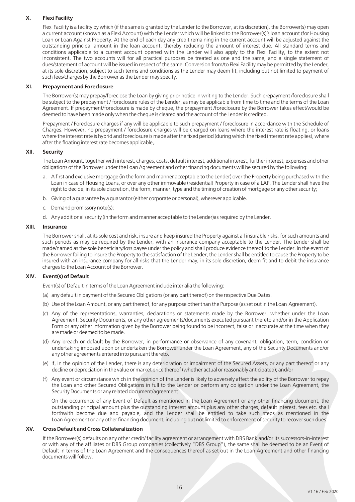# **X. Flexi Facility**

Flexi Facility is a facility by which (if the same is granted by the Lender to the Borrower, at its discretion), the Borrower(s) may open a current account (known as a Flexi Account) with the Lender which will be linked to the Borrower(s)'s loan account (for Housing Loan or Loan Against Property. At the end of each day any credit remaining in the current account will be adjusted against the outstanding principal amount in the loan account, thereby reducing the amount of interest due. All standard terms and conditions applicable to a current account opened with the Lender will also apply to the Flexi Facility, to the extent not inconsistent. The two accounts will for all practical purposes be treated as one and the same, and a single statement of dues/statement of account will be issued in respect of the same. Conversion from/to Flexi Facility may be permitted by the Lender, at its sole discretion, subject to such terms and conditions as the Lender may deem fit, including but not limited to payment of such fees/charges by the Borrower as the Lender may specify.

### **XI. Prepayment and Foreclosure**

The Borrower(s) may prepay/foreclose the Loan by giving prior notice in writing to the Lender. Such prepayment /foreclosure shall be subject to the prepayment / foreclosure rules of the Lender, as may be applicable from time to time and the terms of the Loan Agreement. If prepayment/foreclosure is made by cheque, the prepayment /foreclosure by the Borrower takes effect/would be deemed to have been made only when the cheque is cleared and the account of the Lender is credited.

Prepayment / Foreclosure charges if any will be applicable to such prepayment / foreclosure in accordance with the Schedule of Charges. However, no prepayment / foreclosure charges will be charged on loans where the interest rate is floating, or loans where the interest rate is hybrid and foreclosure is made after the fixed period (during which the fixed interest rate applies), where after the floating interest rate becomes applicable,.

#### **XII. Security**

The Loan Amount, together with interest, charges, costs, default interest, additional interest, further interest, expenses and other obligations of the Borrower under the Loan Agreement and other financing documents will be secured by the following:

- a. A first and exclusive mortgage (in the form and manner acceptable to the Lender) over the Property being purchased with the Loan in case of Housing Loans, or over any other immovable (residential) Property in case of a LAP. The Lender shall have the right to decide, in its sole discretion, the form, manner, type and the timing of creation of mortgage or any other security;
- b. Giving of a guarantee by a guarantor (either corporate or personal), wherever applicable.
- c. Demand promissory note(s);
- d. Any additional security (in the form and manner acceptable to the Lender)as required by the Lender.

#### **XIII. Insurance**

The Borrower shall, at its sole cost and risk, insure and keep insured the Property against all insurable risks, for such amounts and such periods as may be required by the Lender, with an insurance company acceptable to the Lender. The Lender shall be made/named as the sole beneficiary/loss payee under the policy and shall produce evidence thereof to the Lender. In the event of the Borrower failing to insure the Property to the satisfaction of the Lender, the Lender shall be entitled to cause the Property to be insured with an insurance company for all risks that the Lender may, in its sole discretion, deem fit and to debit the insurance charges to the Loan Account of the Borrower.

# **XIV. Event(s) of Default**

Event(s) of Default in terms of the Loan Agreement include inter alia the following:

- (a) any default in payment of the Secured Obligations (or any part thereof) on the respective Due Dates.
- (b) Use of the Loan Amount, or any part thereof, for any purpose other than the Purpose (as set out in the Loan Agreement).
- (c) Any of the representations, warranties, declarations or statements made by the Borrower, whether under the Loan Agreement, Security Documents, or any other agreements/documents executed pursuant thereto and/or in the Application Form or any other information given by the Borrower being found to be incorrect, false or inaccurate at the time when they are made or deemed to be made.
- (d) Any breach or default by the Borrower, in performance or observance of any covenant, obligation, term, condition or undertaking imposed upon or undertaken the Borrower under the Loan Agreement, any of the Security Documents and/or any other agreements entered into pursuant thereto.
- (e) If, in the opinion of the Lender, there is any deterioration or impairment of the Secured Assets, or any part thereof or any decline or depreciation in the value or market price thereof (whether actual or reasonably anticipated); and/or
- (f) Any event or circumstance which in the opinion of the Lender is likely to adversely affect the ability of the Borrower to repay the Loan and other Secured Obligations in full to the Lender or perform any obligation under the Loan Agreement, the Security Documents or any related document/agreement.

On the occurrence of any Event of Default as mentioned in the Loan Agreement or any other financing document, the outstanding principal amount plus the outstanding interest amount plus any other charges, default interest, fees etc. shall forthwith become due and payable, and the Lender shall be entitled to take such steps as mentioned in the Loan Agreement or any other financing document, including but not limited to enforcement of security to recover such dues.

# **XV. Cross Default and Cross Collateralization**

If the Borrower(s) defaults on any other credit/ facility agreement or arrangement with DBS Bank and/or its successors-in-interest or with any of the affiliates or DBS Group companies (collectively "DBS Group"), the same shall be deemed to be an Event of Default in terms of the Loan Agreement and the consequences thereof as set out in the Loan Agreement and other financing documents will follow.